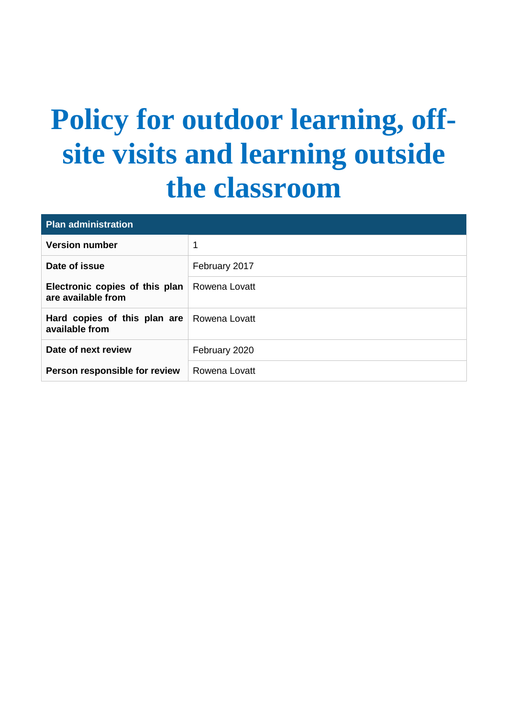# **Policy for outdoor learning, offsite visits and learning outside the classroom**

| <b>Plan administration</b>                           |               |  |
|------------------------------------------------------|---------------|--|
| <b>Version number</b>                                | 1             |  |
| Date of issue                                        | February 2017 |  |
| Electronic copies of this plan<br>are available from | Rowena Lovatt |  |
| Hard copies of this plan are<br>available from       | Rowena Lovatt |  |
| Date of next review                                  | February 2020 |  |
| Person responsible for review                        | Rowena Lovatt |  |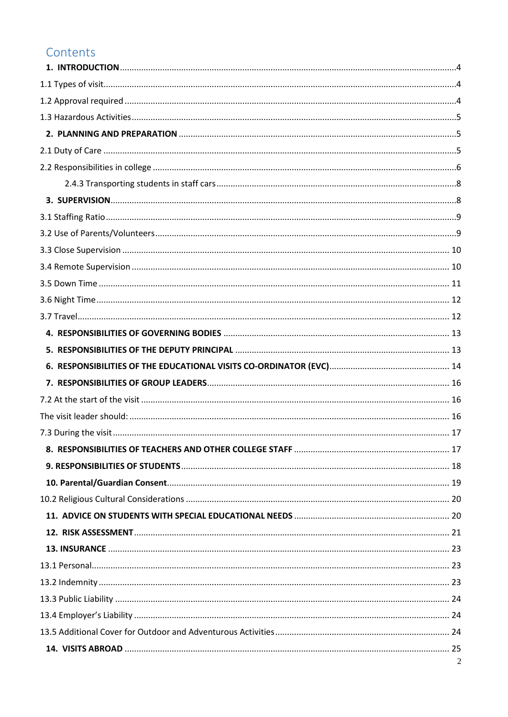### Contents

| 2 |
|---|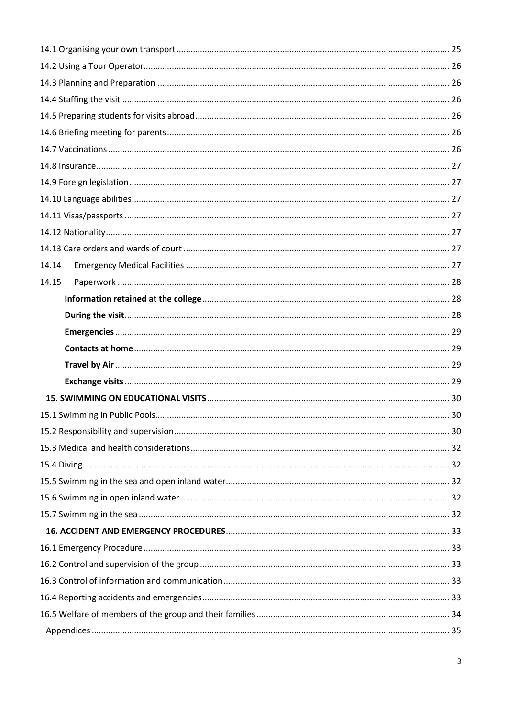| 14.14 |  |
|-------|--|
| 14.15 |  |
|       |  |
|       |  |
|       |  |
|       |  |
|       |  |
|       |  |
|       |  |
|       |  |
|       |  |
|       |  |
|       |  |
|       |  |
|       |  |
|       |  |
|       |  |
|       |  |
|       |  |
|       |  |
|       |  |
|       |  |
|       |  |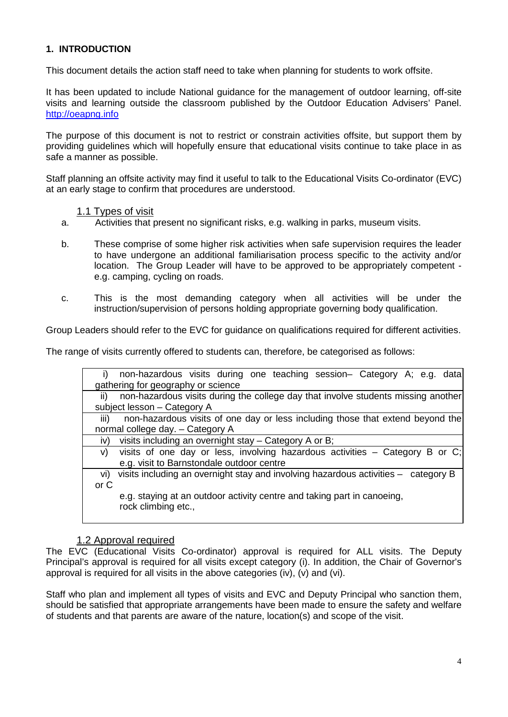#### <span id="page-3-0"></span>**1. INTRODUCTION**

This document details the action staff need to take when planning for students to work offsite.

It has been updated to include National guidance for the management of outdoor learning, off-site visits and learning outside the classroom published by the Outdoor Education Advisers' Panel. [http://oeapng.info](http://oeapng.info/)

The purpose of this document is not to restrict or constrain activities offsite, but support them by providing guidelines which will hopefully ensure that educational visits continue to take place in as safe a manner as possible.

Staff planning an offsite activity may find it useful to talk to the Educational Visits Co-ordinator (EVC) at an early stage to confirm that procedures are understood.

#### 1.1 Types of visit

- <span id="page-3-1"></span>a. Activities that present no significant risks, e.g. walking in parks, museum visits.
- b. These comprise of some higher risk activities when safe supervision requires the leader to have undergone an additional familiarisation process specific to the activity and/or location. The Group Leader will have to be approved to be appropriately competent e.g. camping, cycling on roads.
- c. This is the most demanding category when all activities will be under the instruction/supervision of persons holding appropriate governing body qualification.

Group Leaders should refer to the EVC for guidance on qualifications required for different activities.

The range of visits currently offered to students can, therefore, be categorised as follows:

| non-hazardous visits during one teaching session- Category A; e.g. data<br>i)                  |
|------------------------------------------------------------------------------------------------|
| gathering for geography or science                                                             |
| non-hazardous visits during the college day that involve students missing another<br>ii)       |
| subject lesson - Category A                                                                    |
| non-hazardous visits of one day or less including those that extend beyond the<br>iii)         |
| normal college day. - Category A                                                               |
| visits including an overnight stay - Category A or B;<br>iv)                                   |
| visits of one day or less, involving hazardous activities – Category B or C;<br>V)             |
| e.g. visit to Barnstondale outdoor centre                                                      |
| visits including an overnight stay and involving hazardous activities - category B<br>vi)      |
| or C                                                                                           |
| e.g. staying at an outdoor activity centre and taking part in canoeing,<br>rock climbing etc., |

#### 1.2 Approval required

<span id="page-3-2"></span>The EVC (Educational Visits Co-ordinator) approval is required for ALL visits. The Deputy Principal's approval is required for all visits except category (i). In addition, the Chair of Governor's approval is required for all visits in the above categories (iv), (v) and (vi).

Staff who plan and implement all types of visits and EVC and Deputy Principal who sanction them, should be satisfied that appropriate arrangements have been made to ensure the safety and welfare of students and that parents are aware of the nature, location(s) and scope of the visit.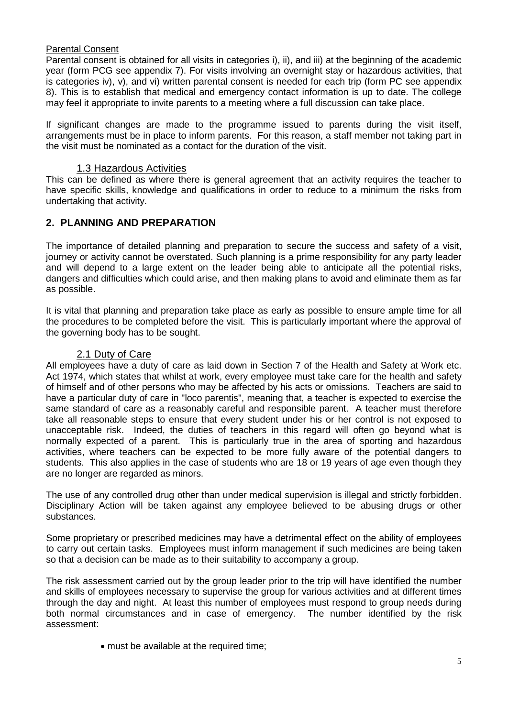#### Parental Consent

Parental consent is obtained for all visits in categories i), ii), and iii) at the beginning of the academic year (form PCG see appendix 7). For visits involving an overnight stay or hazardous activities, that is categories iv), v), and vi) written parental consent is needed for each trip (form PC see appendix 8). This is to establish that medical and emergency contact information is up to date. The college may feel it appropriate to invite parents to a meeting where a full discussion can take place.

If significant changes are made to the programme issued to parents during the visit itself, arrangements must be in place to inform parents. For this reason, a staff member not taking part in the visit must be nominated as a contact for the duration of the visit.

#### 1.3 Hazardous Activities

<span id="page-4-0"></span>This can be defined as where there is general agreement that an activity requires the teacher to have specific skills, knowledge and qualifications in order to reduce to a minimum the risks from undertaking that activity.

#### <span id="page-4-1"></span>**2. PLANNING AND PREPARATION**

The importance of detailed planning and preparation to secure the success and safety of a visit, journey or activity cannot be overstated. Such planning is a prime responsibility for any party leader and will depend to a large extent on the leader being able to anticipate all the potential risks, dangers and difficulties which could arise, and then making plans to avoid and eliminate them as far as possible.

It is vital that planning and preparation take place as early as possible to ensure ample time for all the procedures to be completed before the visit. This is particularly important where the approval of the governing body has to be sought.

#### 2.1 Duty of Care

<span id="page-4-2"></span>All employees have a duty of care as laid down in Section 7 of the Health and Safety at Work etc. Act 1974, which states that whilst at work, every employee must take care for the health and safety of himself and of other persons who may be affected by his acts or omissions. Teachers are said to have a particular duty of care in "loco parentis", meaning that, a teacher is expected to exercise the same standard of care as a reasonably careful and responsible parent. A teacher must therefore take all reasonable steps to ensure that every student under his or her control is not exposed to unacceptable risk. Indeed, the duties of teachers in this regard will often go beyond what is normally expected of a parent. This is particularly true in the area of sporting and hazardous activities, where teachers can be expected to be more fully aware of the potential dangers to students. This also applies in the case of students who are 18 or 19 years of age even though they are no longer are regarded as minors.

The use of any controlled drug other than under medical supervision is illegal and strictly forbidden. Disciplinary Action will be taken against any employee believed to be abusing drugs or other substances.

Some proprietary or prescribed medicines may have a detrimental effect on the ability of employees to carry out certain tasks. Employees must inform management if such medicines are being taken so that a decision can be made as to their suitability to accompany a group.

The risk assessment carried out by the group leader prior to the trip will have identified the number and skills of employees necessary to supervise the group for various activities and at different times through the day and night. At least this number of employees must respond to group needs during both normal circumstances and in case of emergency. The number identified by the risk assessment:

• must be available at the required time;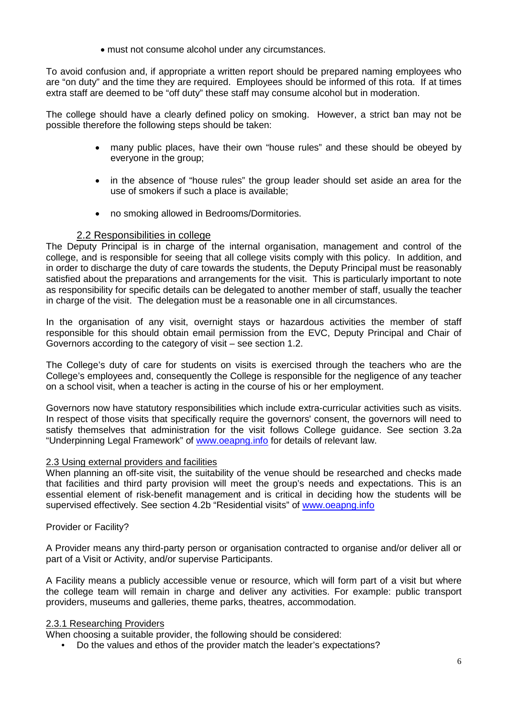• must not consume alcohol under any circumstances.

To avoid confusion and, if appropriate a written report should be prepared naming employees who are "on duty" and the time they are required. Employees should be informed of this rota. If at times extra staff are deemed to be "off duty" these staff may consume alcohol but in moderation.

The college should have a clearly defined policy on smoking. However, a strict ban may not be possible therefore the following steps should be taken:

- many public places, have their own "house rules" and these should be obeyed by everyone in the group;
- in the absence of "house rules" the group leader should set aside an area for the use of smokers if such a place is available;
- no smoking allowed in Bedrooms/Dormitories.

#### 2.2 Responsibilities in college

<span id="page-5-0"></span>The Deputy Principal is in charge of the internal organisation, management and control of the college, and is responsible for seeing that all college visits comply with this policy. In addition, and in order to discharge the duty of care towards the students, the Deputy Principal must be reasonably satisfied about the preparations and arrangements for the visit. This is particularly important to note as responsibility for specific details can be delegated to another member of staff, usually the teacher in charge of the visit. The delegation must be a reasonable one in all circumstances.

In the organisation of any visit, overnight stays or hazardous activities the member of staff responsible for this should obtain email permission from the EVC, Deputy Principal and Chair of Governors according to the category of visit – see section 1.2.

The College's duty of care for students on visits is exercised through the teachers who are the College's employees and, consequently the College is responsible for the negligence of any teacher on a school visit, when a teacher is acting in the course of his or her employment.

Governors now have statutory responsibilities which include extra-curricular activities such as visits. In respect of those visits that specifically require the governors' consent, the governors will need to satisfy themselves that administration for the visit follows College guidance. See section 3.2a "Underpinning Legal Framework" of [www.oeapng.info](http://www.oeapng.info/) for details of relevant law.

#### 2.3 Using external providers and facilities

When planning an off-site visit, the suitability of the venue should be researched and checks made that facilities and third party provision will meet the group's needs and expectations. This is an essential element of risk-benefit management and is critical in deciding how the students will be supervised effectively. See section 4.2b "Residential visits" of [www.oeapng.info](http://www.oeapng.info/)

#### Provider or Facility?

A Provider means any third-party person or organisation contracted to organise and/or deliver all or part of a Visit or Activity, and/or supervise Participants.

A Facility means a publicly accessible venue or resource, which will form part of a visit but where the college team will remain in charge and deliver any activities. For example: public transport providers, museums and galleries, theme parks, theatres, accommodation.

#### 2.3.1 Researching Providers

When choosing a suitable provider, the following should be considered:

• Do the values and ethos of the provider match the leader's expectations?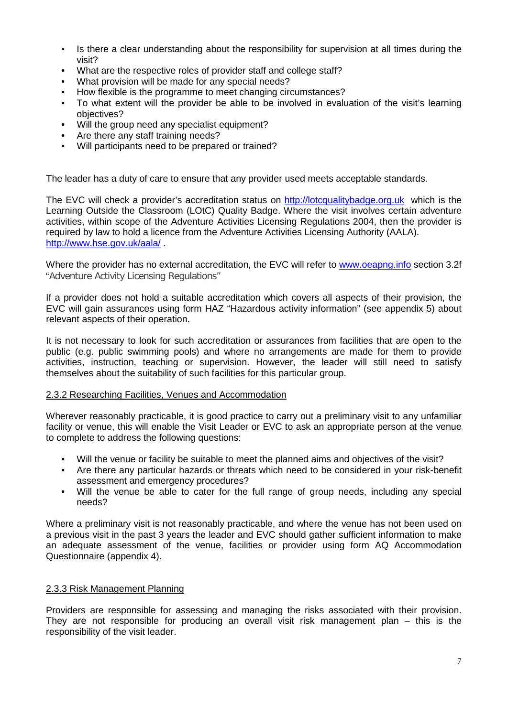- Is there a clear understanding about the responsibility for supervision at all times during the visit?
- What are the respective roles of provider staff and college staff?
- What provision will be made for any special needs?
- How flexible is the programme to meet changing circumstances?
- To what extent will the provider be able to be involved in evaluation of the visit's learning objectives?
- Will the group need any specialist equipment?
- Are there any staff training needs?
- Will participants need to be prepared or trained?

The leader has a duty of care to ensure that any provider used meets acceptable standards.

The EVC will check a provider's accreditation status on [http://lotcqualitybadge.org.uk](http://lotcqualitybadge.org.uk/) which is the Learning Outside the Classroom (LOtC) Quality Badge. Where the visit involves certain adventure activities, within scope of the Adventure Activities Licensing Regulations 2004, then the provider is required by law to hold a licence from the Adventure Activities Licensing Authority (AALA). <http://www.hse.gov.uk/aala/> .

Where the provider has no external accreditation, the EVC will refer to [www.oeapng.info](http://www.oeapng.info/) section 3.2f "Adventure Activity Licensing Regulations"

If a provider does not hold a suitable accreditation which covers all aspects of their provision, the EVC will gain assurances using form HAZ "Hazardous activity information" (see appendix 5) about relevant aspects of their operation.

It is not necessary to look for such accreditation or assurances from facilities that are open to the public (e.g. public swimming pools) and where no arrangements are made for them to provide activities, instruction, teaching or supervision. However, the leader will still need to satisfy themselves about the suitability of such facilities for this particular group.

#### 2.3.2 Researching Facilities, Venues and Accommodation

Wherever reasonably practicable, it is good practice to carry out a preliminary visit to any unfamiliar facility or venue, this will enable the Visit Leader or EVC to ask an appropriate person at the venue to complete to address the following questions:

- Will the venue or facility be suitable to meet the planned aims and objectives of the visit?
- Are there any particular hazards or threats which need to be considered in your risk-benefit assessment and emergency procedures?
- Will the venue be able to cater for the full range of group needs, including any special needs?

Where a preliminary visit is not reasonably practicable, and where the venue has not been used on a previous visit in the past 3 years the leader and EVC should gather sufficient information to make an adequate assessment of the venue, facilities or provider using form AQ Accommodation Questionnaire (appendix 4).

#### 2.3.3 Risk Management Planning

Providers are responsible for assessing and managing the risks associated with their provision. They are not responsible for producing an overall visit risk management plan – this is the responsibility of the visit leader.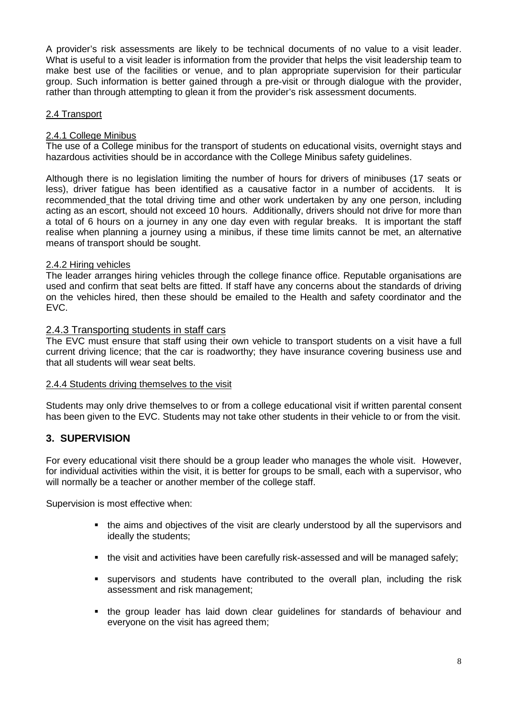A provider's risk assessments are likely to be technical documents of no value to a visit leader. What is useful to a visit leader is information from the provider that helps the visit leadership team to make best use of the facilities or venue, and to plan appropriate supervision for their particular group. Such information is better gained through a pre-visit or through dialogue with the provider, rather than through attempting to glean it from the provider's risk assessment documents.

#### 2.4 Transport

#### 2.4.1 College Minibus

The use of a College minibus for the transport of students on educational visits, overnight stays and hazardous activities should be in accordance with the College Minibus safety guidelines.

Although there is no legislation limiting the number of hours for drivers of minibuses (17 seats or less), driver fatigue has been identified as a causative factor in a number of accidents. It is recommended that the total driving time and other work undertaken by any one person, including acting as an escort, should not exceed 10 hours. Additionally, drivers should not drive for more than a total of 6 hours on a journey in any one day even with regular breaks. It is important the staff realise when planning a journey using a minibus, if these time limits cannot be met, an alternative means of transport should be sought.

#### 2.4.2 Hiring vehicles

The leader arranges hiring vehicles through the college finance office. Reputable organisations are used and confirm that seat belts are fitted. If staff have any concerns about the standards of driving on the vehicles hired, then these should be emailed to the Health and safety coordinator and the EVC.

#### <span id="page-7-0"></span>2.4.3 Transporting students in staff cars

The EVC must ensure that staff using their own vehicle to transport students on a visit have a full current driving licence; that the car is roadworthy; they have insurance covering business use and that all students will wear seat belts.

#### 2.4.4 Students driving themselves to the visit

Students may only drive themselves to or from a college educational visit if written parental consent has been given to the EVC. Students may not take other students in their vehicle to or from the visit.

#### <span id="page-7-1"></span>**3. SUPERVISION**

For every educational visit there should be a group leader who manages the whole visit. However, for individual activities within the visit, it is better for groups to be small, each with a supervisor, who will normally be a teacher or another member of the college staff.

Supervision is most effective when:

- the aims and objectives of the visit are clearly understood by all the supervisors and ideally the students;
- the visit and activities have been carefully risk-assessed and will be managed safely;
- supervisors and students have contributed to the overall plan, including the risk assessment and risk management;
- the group leader has laid down clear guidelines for standards of behaviour and everyone on the visit has agreed them;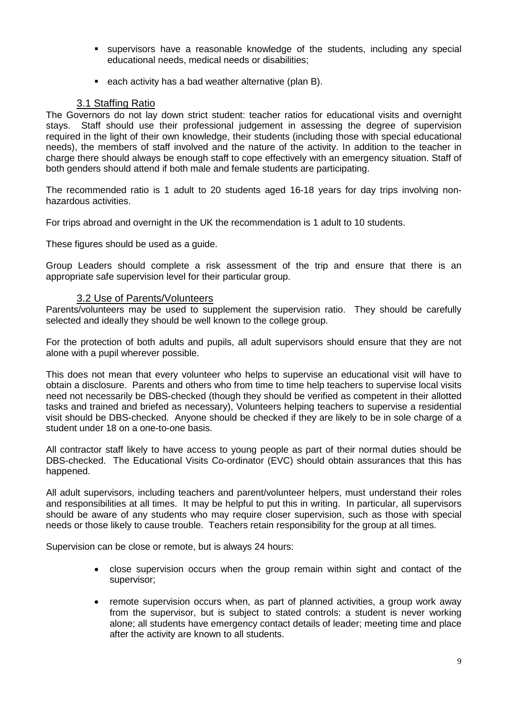- supervisors have a reasonable knowledge of the students, including any special educational needs, medical needs or disabilities;
- **EXECT** each activity has a bad weather alternative (plan B).

#### 3.1 Staffing Ratio

<span id="page-8-0"></span>The Governors do not lay down strict student: teacher ratios for educational visits and overnight stays. Staff should use their professional judgement in assessing the degree of supervision required in the light of their own knowledge, their students (including those with special educational needs), the members of staff involved and the nature of the activity. In addition to the teacher in charge there should always be enough staff to cope effectively with an emergency situation. Staff of both genders should attend if both male and female students are participating.

The recommended ratio is 1 adult to 20 students aged 16-18 years for day trips involving nonhazardous activities.

For trips abroad and overnight in the UK the recommendation is 1 adult to 10 students.

These figures should be used as a guide.

Group Leaders should complete a risk assessment of the trip and ensure that there is an appropriate safe supervision level for their particular group.

#### 3.2 Use of Parents/Volunteers

<span id="page-8-1"></span>Parents/volunteers may be used to supplement the supervision ratio. They should be carefully selected and ideally they should be well known to the college group.

For the protection of both adults and pupils, all adult supervisors should ensure that they are not alone with a pupil wherever possible.

This does not mean that every volunteer who helps to supervise an educational visit will have to obtain a disclosure. Parents and others who from time to time help teachers to supervise local visits need not necessarily be DBS-checked (though they should be verified as competent in their allotted tasks and trained and briefed as necessary), Volunteers helping teachers to supervise a residential visit should be DBS-checked. Anyone should be checked if they are likely to be in sole charge of a student under 18 on a one-to-one basis.

All contractor staff likely to have access to young people as part of their normal duties should be DBS-checked. The Educational Visits Co-ordinator (EVC) should obtain assurances that this has happened.

All adult supervisors, including teachers and parent/volunteer helpers, must understand their roles and responsibilities at all times. It may be helpful to put this in writing. In particular, all supervisors should be aware of any students who may require closer supervision, such as those with special needs or those likely to cause trouble. Teachers retain responsibility for the group at all times.

Supervision can be close or remote, but is always 24 hours:

- close supervision occurs when the group remain within sight and contact of the supervisor;
- remote supervision occurs when, as part of planned activities, a group work away from the supervisor, but is subject to stated controls: a student is never working alone; all students have emergency contact details of leader; meeting time and place after the activity are known to all students.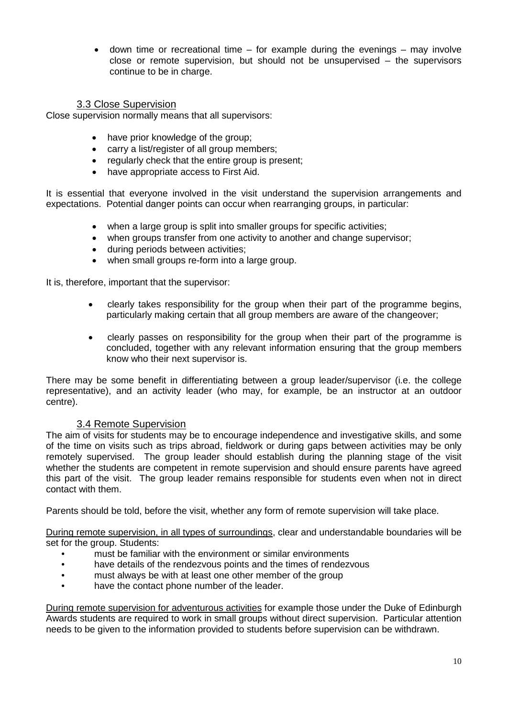$\bullet$  down time or recreational time – for example during the evenings – may involve close or remote supervision, but should not be unsupervised – the supervisors continue to be in charge.

#### 3.3 Close Supervision

<span id="page-9-0"></span>Close supervision normally means that all supervisors:

- have prior knowledge of the group;
- carry a list/register of all group members;
- regularly check that the entire group is present:
- have appropriate access to First Aid.

It is essential that everyone involved in the visit understand the supervision arrangements and expectations. Potential danger points can occur when rearranging groups, in particular:

- when a large group is split into smaller groups for specific activities;
- when groups transfer from one activity to another and change supervisor;
- during periods between activities;
- when small groups re-form into a large group.

It is, therefore, important that the supervisor:

- clearly takes responsibility for the group when their part of the programme begins, particularly making certain that all group members are aware of the changeover;
- clearly passes on responsibility for the group when their part of the programme is concluded, together with any relevant information ensuring that the group members know who their next supervisor is.

There may be some benefit in differentiating between a group leader/supervisor (i.e. the college representative), and an activity leader (who may, for example, be an instructor at an outdoor centre).

#### 3.4 Remote Supervision

<span id="page-9-1"></span>The aim of visits for students may be to encourage independence and investigative skills, and some of the time on visits such as trips abroad, fieldwork or during gaps between activities may be only remotely supervised. The group leader should establish during the planning stage of the visit whether the students are competent in remote supervision and should ensure parents have agreed this part of the visit. The group leader remains responsible for students even when not in direct contact with them.

Parents should be told, before the visit, whether any form of remote supervision will take place.

During remote supervision, in all types of surroundings, clear and understandable boundaries will be set for the group. Students:

- must be familiar with the environment or similar environments
- have details of the rendezvous points and the times of rendezvous
- must always be with at least one other member of the group
- have the contact phone number of the leader.

During remote supervision for adventurous activities for example those under the Duke of Edinburgh Awards students are required to work in small groups without direct supervision. Particular attention needs to be given to the information provided to students before supervision can be withdrawn.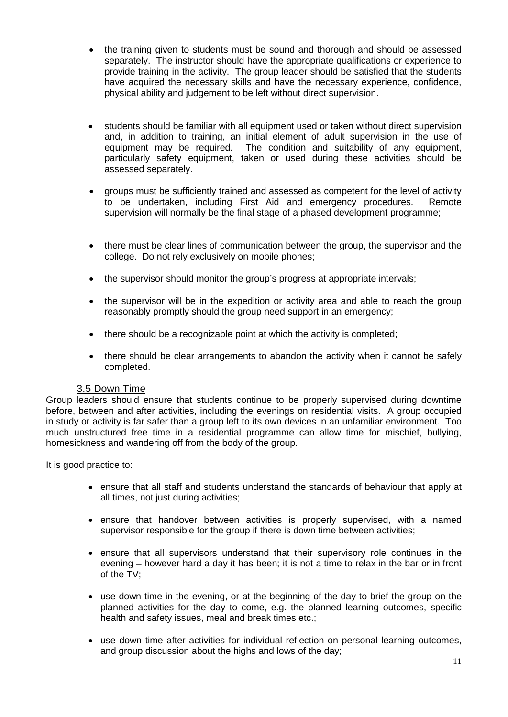- the training given to students must be sound and thorough and should be assessed separately. The instructor should have the appropriate qualifications or experience to provide training in the activity. The group leader should be satisfied that the students have acquired the necessary skills and have the necessary experience, confidence, physical ability and judgement to be left without direct supervision.
- students should be familiar with all equipment used or taken without direct supervision and, in addition to training, an initial element of adult supervision in the use of equipment may be required. The condition and suitability of any equipment, particularly safety equipment, taken or used during these activities should be assessed separately.
- groups must be sufficiently trained and assessed as competent for the level of activity<br>to be undertaken, including First Aid and emergency procedures. Remote to be undertaken, including First Aid and emergency procedures. supervision will normally be the final stage of a phased development programme;
- there must be clear lines of communication between the group, the supervisor and the college. Do not rely exclusively on mobile phones;
- the supervisor should monitor the group's progress at appropriate intervals;
- the supervisor will be in the expedition or activity area and able to reach the group reasonably promptly should the group need support in an emergency;
- there should be a recognizable point at which the activity is completed;
- there should be clear arrangements to abandon the activity when it cannot be safely completed.

#### 3.5 Down Time

<span id="page-10-0"></span>Group leaders should ensure that students continue to be properly supervised during downtime before, between and after activities, including the evenings on residential visits. A group occupied in study or activity is far safer than a group left to its own devices in an unfamiliar environment. Too much unstructured free time in a residential programme can allow time for mischief, bullying, homesickness and wandering off from the body of the group.

It is good practice to:

- ensure that all staff and students understand the standards of behaviour that apply at all times, not just during activities;
- ensure that handover between activities is properly supervised, with a named supervisor responsible for the group if there is down time between activities;
- ensure that all supervisors understand that their supervisory role continues in the evening – however hard a day it has been; it is not a time to relax in the bar or in front of the TV;
- use down time in the evening, or at the beginning of the day to brief the group on the planned activities for the day to come, e.g. the planned learning outcomes, specific health and safety issues, meal and break times etc.;
- use down time after activities for individual reflection on personal learning outcomes, and group discussion about the highs and lows of the day;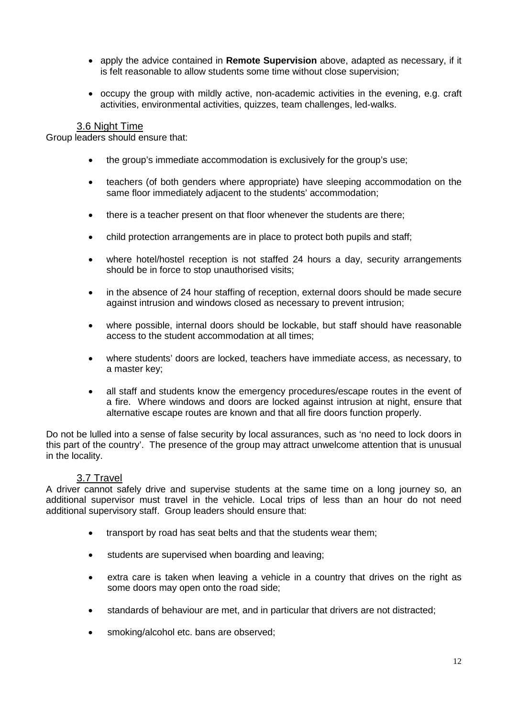- apply the advice contained in **Remote Supervision** above, adapted as necessary, if it is felt reasonable to allow students some time without close supervision;
- occupy the group with mildly active, non-academic activities in the evening, e.g. craft activities, environmental activities, quizzes, team challenges, led-walks.

#### 3.6 Night Time

<span id="page-11-0"></span>Group leaders should ensure that:

- the group's immediate accommodation is exclusively for the group's use;
- teachers (of both genders where appropriate) have sleeping accommodation on the same floor immediately adjacent to the students' accommodation;
- there is a teacher present on that floor whenever the students are there;
- child protection arrangements are in place to protect both pupils and staff;
- where hotel/hostel reception is not staffed 24 hours a day, security arrangements should be in force to stop unauthorised visits;
- in the absence of 24 hour staffing of reception, external doors should be made secure against intrusion and windows closed as necessary to prevent intrusion;
- where possible, internal doors should be lockable, but staff should have reasonable access to the student accommodation at all times;
- where students' doors are locked, teachers have immediate access, as necessary, to a master key;
- all staff and students know the emergency procedures/escape routes in the event of a fire. Where windows and doors are locked against intrusion at night, ensure that alternative escape routes are known and that all fire doors function properly.

Do not be lulled into a sense of false security by local assurances, such as 'no need to lock doors in this part of the country'. The presence of the group may attract unwelcome attention that is unusual in the locality.

#### 3.7 Travel

<span id="page-11-1"></span>A driver cannot safely drive and supervise students at the same time on a long journey so, an additional supervisor must travel in the vehicle. Local trips of less than an hour do not need additional supervisory staff. Group leaders should ensure that:

- transport by road has seat belts and that the students wear them;
- students are supervised when boarding and leaving;
- extra care is taken when leaving a vehicle in a country that drives on the right as some doors may open onto the road side;
- standards of behaviour are met, and in particular that drivers are not distracted;
- smoking/alcohol etc. bans are observed;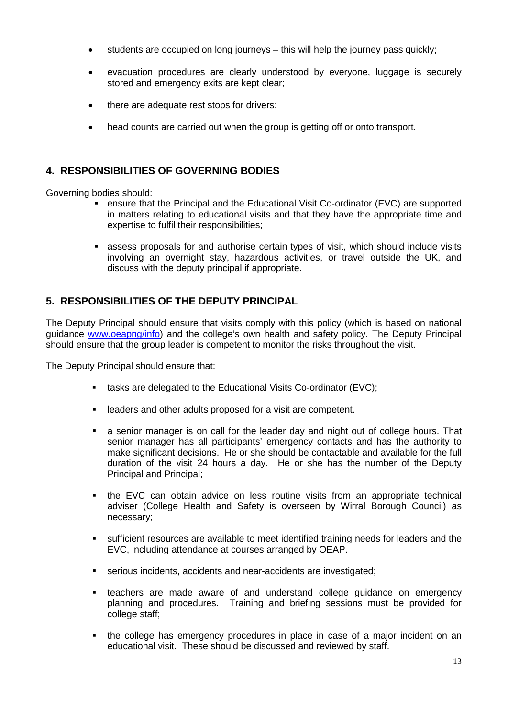- students are occupied on long journeys this will help the journey pass quickly;
- evacuation procedures are clearly understood by everyone, luggage is securely stored and emergency exits are kept clear;
- there are adequate rest stops for drivers;
- head counts are carried out when the group is getting off or onto transport.

#### <span id="page-12-0"></span>**4. RESPONSIBILITIES OF GOVERNING BODIES**

Governing bodies should:

- ensure that the Principal and the Educational Visit Co-ordinator (EVC) are supported in matters relating to educational visits and that they have the appropriate time and expertise to fulfil their responsibilities;
- assess proposals for and authorise certain types of visit, which should include visits involving an overnight stay, hazardous activities, or travel outside the UK, and discuss with the deputy principal if appropriate.

#### <span id="page-12-1"></span>**5. RESPONSIBILITIES OF THE DEPUTY PRINCIPAL**

The Deputy Principal should ensure that visits comply with this policy (which is based on national guidance [www.oeapng/info\)](http://www.oeapng/info) and the college's own health and safety policy. The Deputy Principal should ensure that the group leader is competent to monitor the risks throughout the visit.

The Deputy Principal should ensure that:

- tasks are delegated to the Educational Visits Co-ordinator (EVC);
- leaders and other adults proposed for a visit are competent.
- a senior manager is on call for the leader day and night out of college hours. That senior manager has all participants' emergency contacts and has the authority to make significant decisions. He or she should be contactable and available for the full duration of the visit 24 hours a day. He or she has the number of the Deputy Principal and Principal;
- the EVC can obtain advice on less routine visits from an appropriate technical adviser (College Health and Safety is overseen by Wirral Borough Council) as necessary;
- sufficient resources are available to meet identified training needs for leaders and the EVC, including attendance at courses arranged by OEAP.
- serious incidents, accidents and near-accidents are investigated;
- teachers are made aware of and understand college guidance on emergency planning and procedures. Training and briefing sessions must be provided for college staff;
- the college has emergency procedures in place in case of a major incident on an educational visit. These should be discussed and reviewed by staff.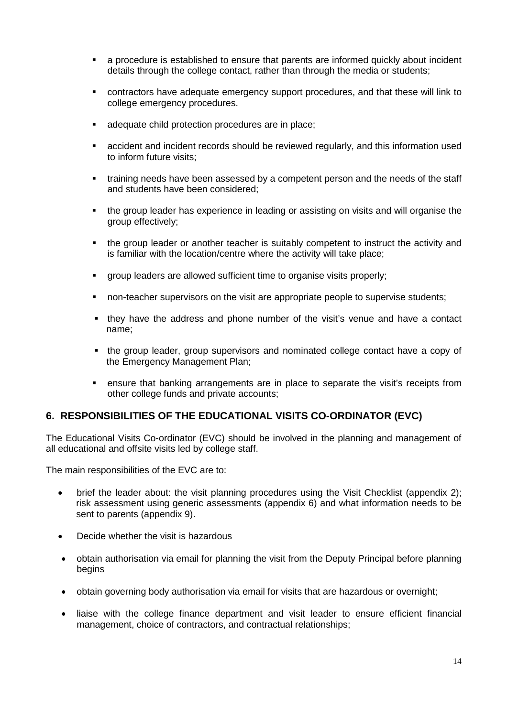- a procedure is established to ensure that parents are informed quickly about incident details through the college contact, rather than through the media or students;
- contractors have adequate emergency support procedures, and that these will link to college emergency procedures.
- adequate child protection procedures are in place;
- accident and incident records should be reviewed regularly, and this information used to inform future visits;
- training needs have been assessed by a competent person and the needs of the staff and students have been considered;
- the group leader has experience in leading or assisting on visits and will organise the group effectively;
- the group leader or another teacher is suitably competent to instruct the activity and is familiar with the location/centre where the activity will take place;
- group leaders are allowed sufficient time to organise visits properly;
- non-teacher supervisors on the visit are appropriate people to supervise students;
- they have the address and phone number of the visit's venue and have a contact name;
- the group leader, group supervisors and nominated college contact have a copy of the Emergency Management Plan;
- ensure that banking arrangements are in place to separate the visit's receipts from other college funds and private accounts;

#### <span id="page-13-0"></span>**6. RESPONSIBILITIES OF THE EDUCATIONAL VISITS CO-ORDINATOR (EVC)**

The Educational Visits Co-ordinator (EVC) should be involved in the planning and management of all educational and offsite visits led by college staff.

The main responsibilities of the EVC are to:

- brief the leader about: the visit planning procedures using the Visit Checklist (appendix 2); risk assessment using generic assessments (appendix 6) and what information needs to be sent to parents (appendix 9).
- Decide whether the visit is hazardous
- obtain authorisation via email for planning the visit from the Deputy Principal before planning begins
- obtain governing body authorisation via email for visits that are hazardous or overnight;
- liaise with the college finance department and visit leader to ensure efficient financial management, choice of contractors, and contractual relationships;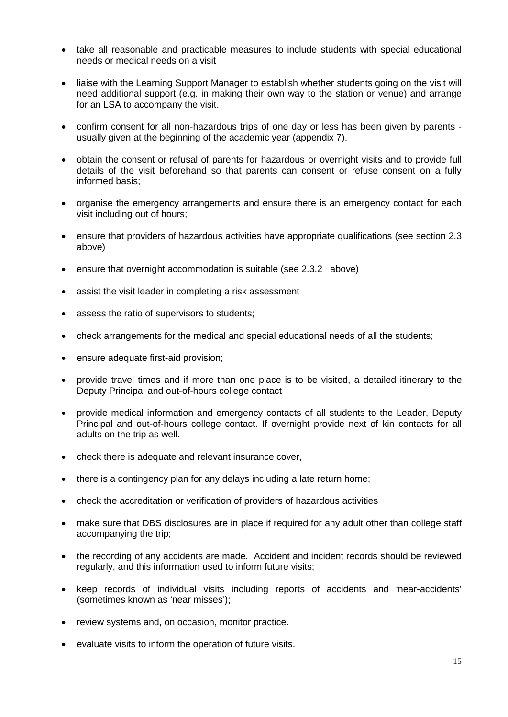- take all reasonable and practicable measures to include students with special educational needs or medical needs on a visit
- liaise with the Learning Support Manager to establish whether students going on the visit will need additional support (e.g. in making their own way to the station or venue) and arrange for an LSA to accompany the visit.
- confirm consent for all non-hazardous trips of one day or less has been given by parents usually given at the beginning of the academic year (appendix 7).
- obtain the consent or refusal of parents for hazardous or overnight visits and to provide full details of the visit beforehand so that parents can consent or refuse consent on a fully informed basis;
- organise the emergency arrangements and ensure there is an emergency contact for each visit including out of hours;
- ensure that providers of hazardous activities have appropriate qualifications (see section 2.3 above)
- ensure that overnight accommodation is suitable (see 2.3.2 above)
- assist the visit leader in completing a risk assessment
- assess the ratio of supervisors to students;
- check arrangements for the medical and special educational needs of all the students;
- ensure adequate first-aid provision;
- provide travel times and if more than one place is to be visited, a detailed itinerary to the Deputy Principal and out-of-hours college contact
- provide medical information and emergency contacts of all students to the Leader, Deputy Principal and out-of-hours college contact. If overnight provide next of kin contacts for all adults on the trip as well.
- check there is adequate and relevant insurance cover,
- there is a contingency plan for any delays including a late return home;
- check the accreditation or verification of providers of hazardous activities
- make sure that DBS disclosures are in place if required for any adult other than college staff accompanying the trip;
- the recording of any accidents are made. Accident and incident records should be reviewed regularly, and this information used to inform future visits;
- keep records of individual visits including reports of accidents and 'near-accidents' (sometimes known as 'near misses');
- review systems and, on occasion, monitor practice.
- evaluate visits to inform the operation of future visits.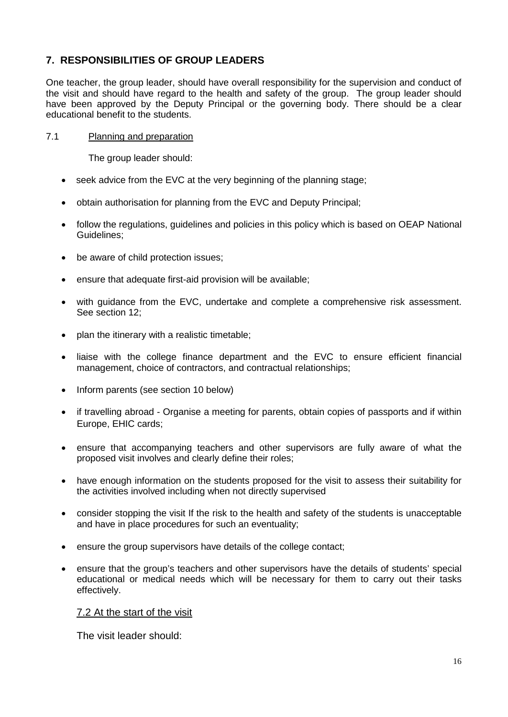#### <span id="page-15-0"></span>**7. RESPONSIBILITIES OF GROUP LEADERS**

One teacher, the group leader, should have overall responsibility for the supervision and conduct of the visit and should have regard to the health and safety of the group. The group leader should have been approved by the Deputy Principal or the governing body. There should be a clear educational benefit to the students.

#### 7.1 Planning and preparation

The group leader should:

- seek advice from the EVC at the very beginning of the planning stage;
- obtain authorisation for planning from the EVC and Deputy Principal;
- follow the regulations, guidelines and policies in this policy which is based on OEAP National Guidelines;
- be aware of child protection issues;
- ensure that adequate first-aid provision will be available;
- with guidance from the EVC, undertake and complete a comprehensive risk assessment. See section 12;
- plan the itinerary with a realistic timetable;
- liaise with the college finance department and the EVC to ensure efficient financial management, choice of contractors, and contractual relationships;
- Inform parents (see section 10 below)
- if travelling abroad Organise a meeting for parents, obtain copies of passports and if within Europe, EHIC cards;
- ensure that accompanying teachers and other supervisors are fully aware of what the proposed visit involves and clearly define their roles;
- have enough information on the students proposed for the visit to assess their suitability for the activities involved including when not directly supervised
- consider stopping the visit If the risk to the health and safety of the students is unacceptable and have in place procedures for such an eventuality;
- ensure the group supervisors have details of the college contact;
- ensure that the group's teachers and other supervisors have the details of students' special educational or medical needs which will be necessary for them to carry out their tasks effectively.

<span id="page-15-1"></span>7.2 At the start of the visit

<span id="page-15-2"></span>The visit leader should: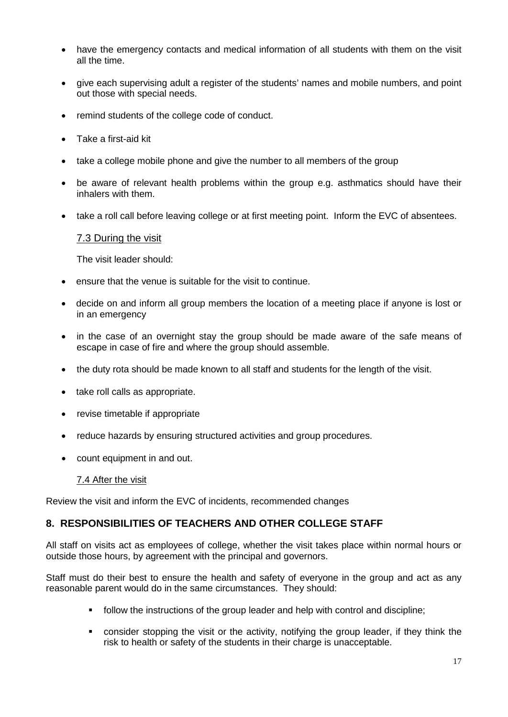- have the emergency contacts and medical information of all students with them on the visit all the time.
- give each supervising adult a register of the students' names and mobile numbers, and point out those with special needs.
- remind students of the college code of conduct.
- Take a first-aid kit
- take a college mobile phone and give the number to all members of the group
- be aware of relevant health problems within the group e.g. asthmatics should have their inhalers with them.
- <span id="page-16-0"></span>• take a roll call before leaving college or at first meeting point. Inform the EVC of absentees.

#### 7.3 During the visit

The visit leader should:

- ensure that the venue is suitable for the visit to continue.
- decide on and inform all group members the location of a meeting place if anyone is lost or in an emergency
- in the case of an overnight stay the group should be made aware of the safe means of escape in case of fire and where the group should assemble.
- the duty rota should be made known to all staff and students for the length of the visit.
- take roll calls as appropriate.
- revise timetable if appropriate
- reduce hazards by ensuring structured activities and group procedures.
- count equipment in and out.

#### 7.4 After the visit

Review the visit and inform the EVC of incidents, recommended changes

#### <span id="page-16-1"></span>**8. RESPONSIBILITIES OF TEACHERS AND OTHER COLLEGE STAFF**

All staff on visits act as employees of college, whether the visit takes place within normal hours or outside those hours, by agreement with the principal and governors.

Staff must do their best to ensure the health and safety of everyone in the group and act as any reasonable parent would do in the same circumstances. They should:

- follow the instructions of the group leader and help with control and discipline;
- consider stopping the visit or the activity, notifying the group leader, if they think the risk to health or safety of the students in their charge is unacceptable.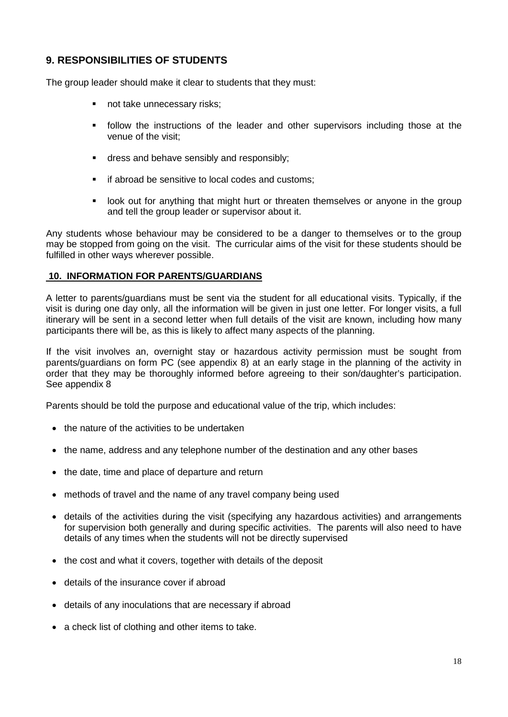#### <span id="page-17-0"></span>**9. RESPONSIBILITIES OF STUDENTS**

The group leader should make it clear to students that they must:

- not take unnecessary risks;
- **follow the instructions of the leader and other supervisors including those at the** venue of the visit;
- dress and behave sensibly and responsibly;
- if abroad be sensitive to local codes and customs;
- look out for anything that might hurt or threaten themselves or anyone in the group and tell the group leader or supervisor about it.

Any students whose behaviour may be considered to be a danger to themselves or to the group may be stopped from going on the visit. The curricular aims of the visit for these students should be fulfilled in other ways wherever possible.

#### **10. INFORMATION FOR PARENTS/GUARDIANS**

A letter to parents/guardians must be sent via the student for all educational visits. Typically, if the visit is during one day only, all the information will be given in just one letter. For longer visits, a full itinerary will be sent in a second letter when full details of the visit are known, including how many participants there will be, as this is likely to affect many aspects of the planning.

If the visit involves an, overnight stay or hazardous activity permission must be sought from parents/guardians on form PC (see appendix 8) at an early stage in the planning of the activity in order that they may be thoroughly informed before agreeing to their son/daughter's participation. See appendix 8

Parents should be told the purpose and educational value of the trip, which includes:

- the nature of the activities to be undertaken
- the name, address and any telephone number of the destination and any other bases
- the date, time and place of departure and return
- methods of travel and the name of any travel company being used
- details of the activities during the visit (specifying any hazardous activities) and arrangements for supervision both generally and during specific activities. The parents will also need to have details of any times when the students will not be directly supervised
- the cost and what it covers, together with details of the deposit
- details of the insurance cover if abroad
- details of any inoculations that are necessary if abroad
- a check list of clothing and other items to take.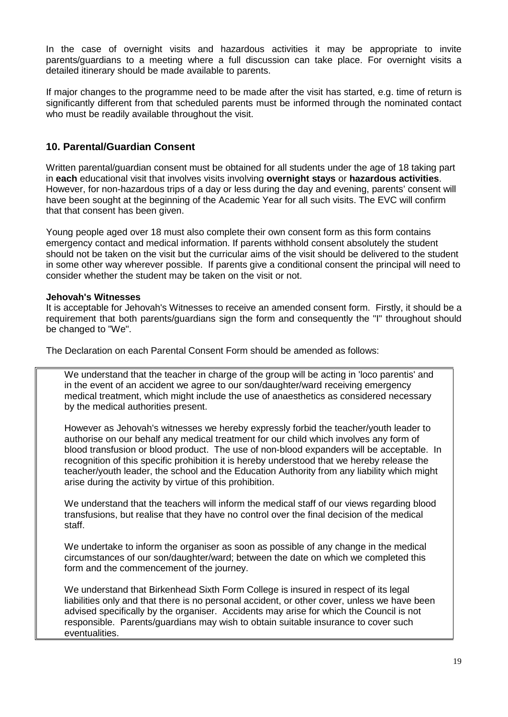In the case of overnight visits and hazardous activities it may be appropriate to invite parents/guardians to a meeting where a full discussion can take place. For overnight visits a detailed itinerary should be made available to parents.

If major changes to the programme need to be made after the visit has started, e.g. time of return is significantly different from that scheduled parents must be informed through the nominated contact who must be readily available throughout the visit.

#### <span id="page-18-0"></span>**10. Parental/Guardian Consent**

Written parental/guardian consent must be obtained for all students under the age of 18 taking part in **each** educational visit that involves visits involving **overnight stays** or **hazardous activities**. However, for non-hazardous trips of a day or less during the day and evening, parents' consent will have been sought at the beginning of the Academic Year for all such visits. The EVC will confirm that that consent has been given.

Young people aged over 18 must also complete their own consent form as this form contains emergency contact and medical information. If parents withhold consent absolutely the student should not be taken on the visit but the curricular aims of the visit should be delivered to the student in some other way wherever possible. If parents give a conditional consent the principal will need to consider whether the student may be taken on the visit or not.

#### **Jehovah's Witnesses**

It is acceptable for Jehovah's Witnesses to receive an amended consent form. Firstly, it should be a requirement that both parents/guardians sign the form and consequently the "I" throughout should be changed to "We".

The Declaration on each Parental Consent Form should be amended as follows:

We understand that the teacher in charge of the group will be acting in 'loco parentis' and in the event of an accident we agree to our son/daughter/ward receiving emergency medical treatment, which might include the use of anaesthetics as considered necessary by the medical authorities present.

However as Jehovah's witnesses we hereby expressly forbid the teacher/youth leader to authorise on our behalf any medical treatment for our child which involves any form of blood transfusion or blood product. The use of non-blood expanders will be acceptable. In recognition of this specific prohibition it is hereby understood that we hereby release the teacher/youth leader, the school and the Education Authority from any liability which might arise during the activity by virtue of this prohibition.

We understand that the teachers will inform the medical staff of our views regarding blood transfusions, but realise that they have no control over the final decision of the medical staff.

We undertake to inform the organiser as soon as possible of any change in the medical circumstances of our son/daughter/ward; between the date on which we completed this form and the commencement of the journey.

We understand that Birkenhead Sixth Form College is insured in respect of its legal liabilities only and that there is no personal accident, or other cover, unless we have been advised specifically by the organiser. Accidents may arise for which the Council is not responsible. Parents/guardians may wish to obtain suitable insurance to cover such eventualities.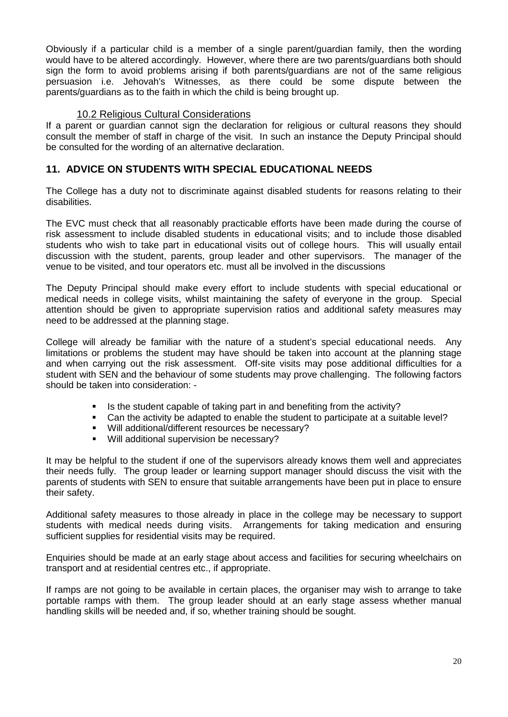Obviously if a particular child is a member of a single parent/guardian family, then the wording would have to be altered accordingly. However, where there are two parents/guardians both should sign the form to avoid problems arising if both parents/guardians are not of the same religious persuasion i.e. Jehovah's Witnesses, as there could be some dispute between the parents/guardians as to the faith in which the child is being brought up.

#### 10.2 Religious Cultural Considerations

<span id="page-19-0"></span>If a parent or guardian cannot sign the declaration for religious or cultural reasons they should consult the member of staff in charge of the visit. In such an instance the Deputy Principal should be consulted for the wording of an alternative declaration.

#### <span id="page-19-1"></span>**11. ADVICE ON STUDENTS WITH SPECIAL EDUCATIONAL NEEDS**

The College has a duty not to discriminate against disabled students for reasons relating to their disabilities.

The EVC must check that all reasonably practicable efforts have been made during the course of risk assessment to include disabled students in educational visits; and to include those disabled students who wish to take part in educational visits out of college hours. This will usually entail discussion with the student, parents, group leader and other supervisors. The manager of the venue to be visited, and tour operators etc. must all be involved in the discussions

The Deputy Principal should make every effort to include students with special educational or medical needs in college visits, whilst maintaining the safety of everyone in the group. Special attention should be given to appropriate supervision ratios and additional safety measures may need to be addressed at the planning stage.

College will already be familiar with the nature of a student's special educational needs. Any limitations or problems the student may have should be taken into account at the planning stage and when carrying out the risk assessment. Off-site visits may pose additional difficulties for a student with SEN and the behaviour of some students may prove challenging. The following factors should be taken into consideration: -

- Is the student capable of taking part in and benefiting from the activity?
- Can the activity be adapted to enable the student to participate at a suitable level?
- Will additional/different resources be necessary?
- Will additional supervision be necessary?

It may be helpful to the student if one of the supervisors already knows them well and appreciates their needs fully. The group leader or learning support manager should discuss the visit with the parents of students with SEN to ensure that suitable arrangements have been put in place to ensure their safety.

Additional safety measures to those already in place in the college may be necessary to support students with medical needs during visits. Arrangements for taking medication and ensuring sufficient supplies for residential visits may be required.

Enquiries should be made at an early stage about access and facilities for securing wheelchairs on transport and at residential centres etc., if appropriate.

If ramps are not going to be available in certain places, the organiser may wish to arrange to take portable ramps with them. The group leader should at an early stage assess whether manual handling skills will be needed and, if so, whether training should be sought.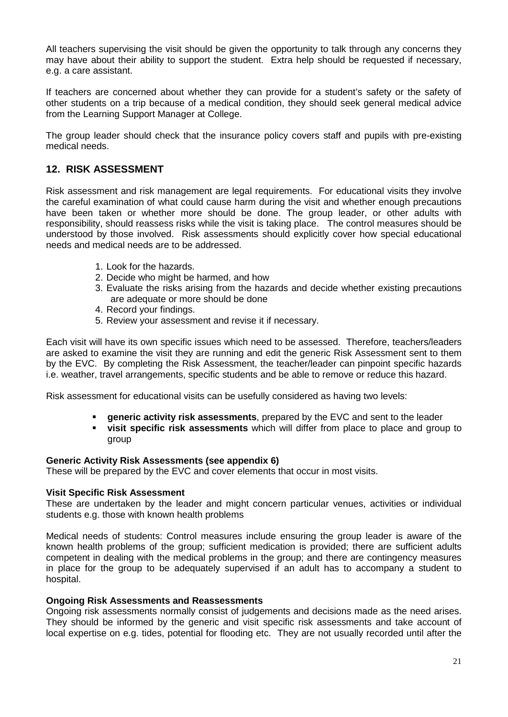All teachers supervising the visit should be given the opportunity to talk through any concerns they may have about their ability to support the student. Extra help should be requested if necessary, e.g. a care assistant.

If teachers are concerned about whether they can provide for a student's safety or the safety of other students on a trip because of a medical condition, they should seek general medical advice from the Learning Support Manager at College.

The group leader should check that the insurance policy covers staff and pupils with pre-existing medical needs.

#### <span id="page-20-0"></span>**12. RISK ASSESSMENT**

Risk assessment and risk management are legal requirements. For educational visits they involve the careful examination of what could cause harm during the visit and whether enough precautions have been taken or whether more should be done. The group leader, or other adults with responsibility, should reassess risks while the visit is taking place. The control measures should be understood by those involved. Risk assessments should explicitly cover how special educational needs and medical needs are to be addressed.

- 1. Look for the hazards.
- 2. Decide who might be harmed, and how
- 3. Evaluate the risks arising from the hazards and decide whether existing precautions are adequate or more should be done
- 4. Record your findings.
- 5. Review your assessment and revise it if necessary.

Each visit will have its own specific issues which need to be assessed. Therefore, teachers/leaders are asked to examine the visit they are running and edit the generic Risk Assessment sent to them by the EVC. By completing the Risk Assessment, the teacher/leader can pinpoint specific hazards i.e. weather, travel arrangements, specific students and be able to remove or reduce this hazard.

Risk assessment for educational visits can be usefully considered as having two levels:

- **generic activity risk assessments**, prepared by the EVC and sent to the leader
- **visit specific risk assessments** which will differ from place to place and group to group

#### **Generic Activity Risk Assessments (see appendix 6)**

These will be prepared by the EVC and cover elements that occur in most visits.

#### **Visit Specific Risk Assessment**

These are undertaken by the leader and might concern particular venues, activities or individual students e.g. those with known health problems

Medical needs of students: Control measures include ensuring the group leader is aware of the known health problems of the group; sufficient medication is provided; there are sufficient adults competent in dealing with the medical problems in the group; and there are contingency measures in place for the group to be adequately supervised if an adult has to accompany a student to hospital.

#### **Ongoing Risk Assessments and Reassessments**

Ongoing risk assessments normally consist of judgements and decisions made as the need arises. They should be informed by the generic and visit specific risk assessments and take account of local expertise on e.g. tides, potential for flooding etc. They are not usually recorded until after the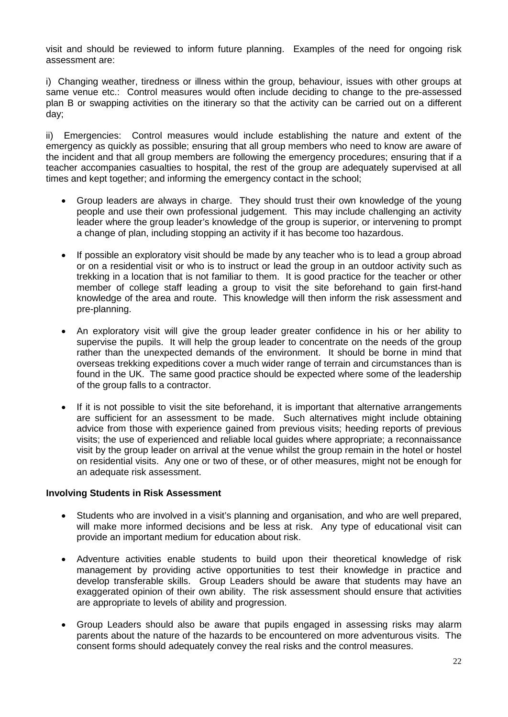visit and should be reviewed to inform future planning. Examples of the need for ongoing risk assessment are:

i) Changing weather, tiredness or illness within the group, behaviour, issues with other groups at same venue etc.: Control measures would often include deciding to change to the pre-assessed plan B or swapping activities on the itinerary so that the activity can be carried out on a different day;

ii) Emergencies: Control measures would include establishing the nature and extent of the emergency as quickly as possible; ensuring that all group members who need to know are aware of the incident and that all group members are following the emergency procedures; ensuring that if a teacher accompanies casualties to hospital, the rest of the group are adequately supervised at all times and kept together; and informing the emergency contact in the school;

- Group leaders are always in charge. They should trust their own knowledge of the young people and use their own professional judgement. This may include challenging an activity leader where the group leader's knowledge of the group is superior, or intervening to prompt a change of plan, including stopping an activity if it has become too hazardous.
- If possible an exploratory visit should be made by any teacher who is to lead a group abroad or on a residential visit or who is to instruct or lead the group in an outdoor activity such as trekking in a location that is not familiar to them. It is good practice for the teacher or other member of college staff leading a group to visit the site beforehand to gain first-hand knowledge of the area and route. This knowledge will then inform the risk assessment and pre-planning.
- An exploratory visit will give the group leader greater confidence in his or her ability to supervise the pupils. It will help the group leader to concentrate on the needs of the group rather than the unexpected demands of the environment. It should be borne in mind that overseas trekking expeditions cover a much wider range of terrain and circumstances than is found in the UK. The same good practice should be expected where some of the leadership of the group falls to a contractor.
- If it is not possible to visit the site beforehand, it is important that alternative arrangements are sufficient for an assessment to be made. Such alternatives might include obtaining advice from those with experience gained from previous visits; heeding reports of previous visits; the use of experienced and reliable local guides where appropriate; a reconnaissance visit by the group leader on arrival at the venue whilst the group remain in the hotel or hostel on residential visits. Any one or two of these, or of other measures, might not be enough for an adequate risk assessment.

#### **Involving Students in Risk Assessment**

- Students who are involved in a visit's planning and organisation, and who are well prepared, will make more informed decisions and be less at risk. Any type of educational visit can provide an important medium for education about risk.
- Adventure activities enable students to build upon their theoretical knowledge of risk management by providing active opportunities to test their knowledge in practice and develop transferable skills. Group Leaders should be aware that students may have an exaggerated opinion of their own ability. The risk assessment should ensure that activities are appropriate to levels of ability and progression.
- Group Leaders should also be aware that pupils engaged in assessing risks may alarm parents about the nature of the hazards to be encountered on more adventurous visits. The consent forms should adequately convey the real risks and the control measures.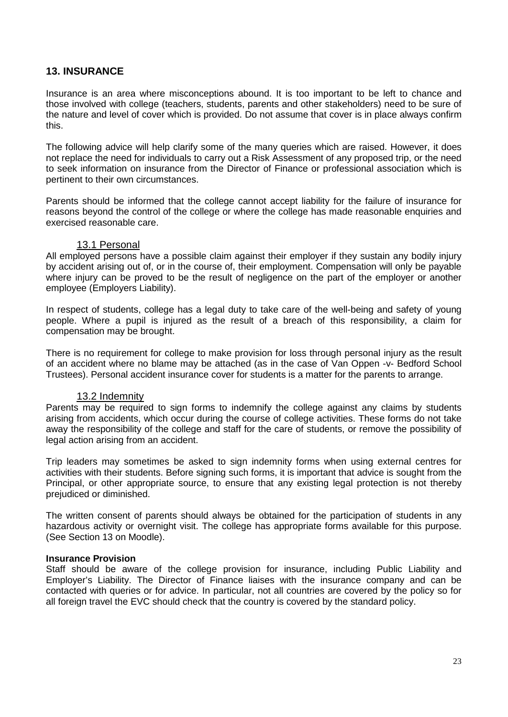#### <span id="page-22-0"></span>**13. INSURANCE**

Insurance is an area where misconceptions abound. It is too important to be left to chance and those involved with college (teachers, students, parents and other stakeholders) need to be sure of the nature and level of cover which is provided. Do not assume that cover is in place always confirm this.

The following advice will help clarify some of the many queries which are raised. However, it does not replace the need for individuals to carry out a Risk Assessment of any proposed trip, or the need to seek information on insurance from the Director of Finance or professional association which is pertinent to their own circumstances.

Parents should be informed that the college cannot accept liability for the failure of insurance for reasons beyond the control of the college or where the college has made reasonable enquiries and exercised reasonable care.

#### 13.1 Personal

<span id="page-22-1"></span>All employed persons have a possible claim against their employer if they sustain any bodily injury by accident arising out of, or in the course of, their employment. Compensation will only be payable where injury can be proved to be the result of negligence on the part of the employer or another employee (Employers Liability).

In respect of students, college has a legal duty to take care of the well-being and safety of young people. Where a pupil is injured as the result of a breach of this responsibility, a claim for compensation may be brought.

There is no requirement for college to make provision for loss through personal injury as the result of an accident where no blame may be attached (as in the case of Van Oppen -v- Bedford School Trustees). Personal accident insurance cover for students is a matter for the parents to arrange.

#### 13.2 Indemnity

<span id="page-22-2"></span>Parents may be required to sign forms to indemnify the college against any claims by students arising from accidents, which occur during the course of college activities. These forms do not take away the responsibility of the college and staff for the care of students, or remove the possibility of legal action arising from an accident.

Trip leaders may sometimes be asked to sign indemnity forms when using external centres for activities with their students. Before signing such forms, it is important that advice is sought from the Principal, or other appropriate source, to ensure that any existing legal protection is not thereby prejudiced or diminished.

The written consent of parents should always be obtained for the participation of students in any hazardous activity or overnight visit. The college has appropriate forms available for this purpose. (See Section 13 on Moodle).

#### **Insurance Provision**

Staff should be aware of the college provision for insurance, including Public Liability and Employer's Liability. The Director of Finance liaises with the insurance company and can be contacted with queries or for advice. In particular, not all countries are covered by the policy so for all foreign travel the EVC should check that the country is covered by the standard policy.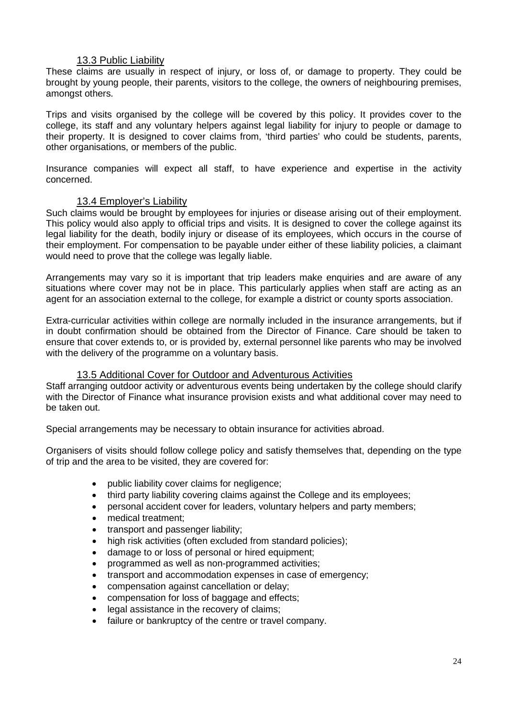#### 13.3 Public Liability

<span id="page-23-0"></span>These claims are usually in respect of injury, or loss of, or damage to property. They could be brought by young people, their parents, visitors to the college, the owners of neighbouring premises, amongst others.

Trips and visits organised by the college will be covered by this policy. It provides cover to the college, its staff and any voluntary helpers against legal liability for injury to people or damage to their property. It is designed to cover claims from, 'third parties' who could be students, parents, other organisations, or members of the public.

Insurance companies will expect all staff, to have experience and expertise in the activity concerned.

#### 13.4 Employer's Liability

<span id="page-23-1"></span>Such claims would be brought by employees for injuries or disease arising out of their employment. This policy would also apply to official trips and visits. It is designed to cover the college against its legal liability for the death, bodily injury or disease of its employees, which occurs in the course of their employment. For compensation to be payable under either of these liability policies, a claimant would need to prove that the college was legally liable.

Arrangements may vary so it is important that trip leaders make enquiries and are aware of any situations where cover may not be in place. This particularly applies when staff are acting as an agent for an association external to the college, for example a district or county sports association.

Extra-curricular activities within college are normally included in the insurance arrangements, but if in doubt confirmation should be obtained from the Director of Finance. Care should be taken to ensure that cover extends to, or is provided by, external personnel like parents who may be involved with the delivery of the programme on a voluntary basis.

#### 13.5 Additional Cover for Outdoor and Adventurous Activities

<span id="page-23-2"></span>Staff arranging outdoor activity or adventurous events being undertaken by the college should clarify with the Director of Finance what insurance provision exists and what additional cover may need to be taken out.

Special arrangements may be necessary to obtain insurance for activities abroad.

Organisers of visits should follow college policy and satisfy themselves that, depending on the type of trip and the area to be visited, they are covered for:

- public liability cover claims for negligence;
- third party liability covering claims against the College and its employees;
- personal accident cover for leaders, voluntary helpers and party members;
- medical treatment:
- transport and passenger liability;
- high risk activities (often excluded from standard policies);
- damage to or loss of personal or hired equipment;
- programmed as well as non-programmed activities;
- transport and accommodation expenses in case of emergency;
- compensation against cancellation or delay;
- compensation for loss of baggage and effects;
- legal assistance in the recovery of claims;
- failure or bankruptcy of the centre or travel company.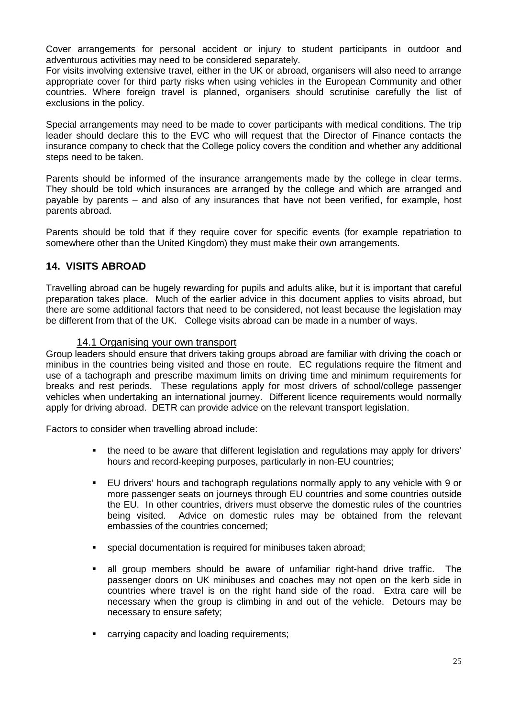Cover arrangements for personal accident or injury to student participants in outdoor and adventurous activities may need to be considered separately.

For visits involving extensive travel, either in the UK or abroad, organisers will also need to arrange appropriate cover for third party risks when using vehicles in the European Community and other countries. Where foreign travel is planned, organisers should scrutinise carefully the list of exclusions in the policy.

Special arrangements may need to be made to cover participants with medical conditions. The trip leader should declare this to the EVC who will request that the Director of Finance contacts the insurance company to check that the College policy covers the condition and whether any additional steps need to be taken.

Parents should be informed of the insurance arrangements made by the college in clear terms. They should be told which insurances are arranged by the college and which are arranged and payable by parents – and also of any insurances that have not been verified, for example, host parents abroad.

Parents should be told that if they require cover for specific events (for example repatriation to somewhere other than the United Kingdom) they must make their own arrangements.

#### <span id="page-24-0"></span>**14. VISITS ABROAD**

Travelling abroad can be hugely rewarding for pupils and adults alike, but it is important that careful preparation takes place. Much of the earlier advice in this document applies to visits abroad, but there are some additional factors that need to be considered, not least because the legislation may be different from that of the UK. College visits abroad can be made in a number of ways.

#### 14.1 Organising your own transport

<span id="page-24-1"></span>Group leaders should ensure that drivers taking groups abroad are familiar with driving the coach or minibus in the countries being visited and those en route. EC regulations require the fitment and use of a tachograph and prescribe maximum limits on driving time and minimum requirements for breaks and rest periods. These regulations apply for most drivers of school/college passenger vehicles when undertaking an international journey. Different licence requirements would normally apply for driving abroad. DETR can provide advice on the relevant transport legislation.

Factors to consider when travelling abroad include:

- the need to be aware that different legislation and regulations may apply for drivers' hours and record-keeping purposes, particularly in non-EU countries;
- EU drivers' hours and tachograph regulations normally apply to any vehicle with 9 or more passenger seats on journeys through EU countries and some countries outside the EU. In other countries, drivers must observe the domestic rules of the countries being visited. Advice on domestic rules may be obtained from the relevant embassies of the countries concerned;
- special documentation is required for minibuses taken abroad;
- all group members should be aware of unfamiliar right-hand drive traffic. The passenger doors on UK minibuses and coaches may not open on the kerb side in countries where travel is on the right hand side of the road. Extra care will be necessary when the group is climbing in and out of the vehicle. Detours may be necessary to ensure safety;
- carrying capacity and loading requirements;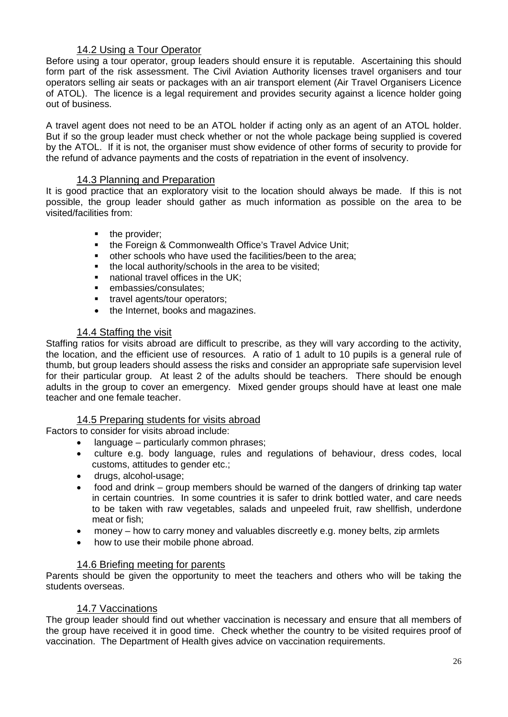#### 14.2 Using a Tour Operator

<span id="page-25-0"></span>Before using a tour operator, group leaders should ensure it is reputable. Ascertaining this should form part of the risk assessment. The Civil Aviation Authority licenses travel organisers and tour operators selling air seats or packages with an air transport element (Air Travel Organisers Licence of ATOL). The licence is a legal requirement and provides security against a licence holder going out of business.

A travel agent does not need to be an ATOL holder if acting only as an agent of an ATOL holder. But if so the group leader must check whether or not the whole package being supplied is covered by the ATOL. If it is not, the organiser must show evidence of other forms of security to provide for the refund of advance payments and the costs of repatriation in the event of insolvency.

#### 14.3 Planning and Preparation

<span id="page-25-1"></span>It is good practice that an exploratory visit to the location should always be made. If this is not possible, the group leader should gather as much information as possible on the area to be visited/facilities from:

- the provider;
- the Foreign & Commonwealth Office's Travel Advice Unit;
- other schools who have used the facilities/been to the area;
- the local authority/schools in the area to be visited:
- national travel offices in the UK;<br>manufactions (consulator)
- embassies/consulates;
- **travel agents/tour operators;**
- the Internet, books and magazines.

#### 14.4 Staffing the visit

<span id="page-25-2"></span>Staffing ratios for visits abroad are difficult to prescribe, as they will vary according to the activity, the location, and the efficient use of resources. A ratio of 1 adult to 10 pupils is a general rule of thumb, but group leaders should assess the risks and consider an appropriate safe supervision level for their particular group. At least 2 of the adults should be teachers. There should be enough adults in the group to cover an emergency. Mixed gender groups should have at least one male teacher and one female teacher.

#### 14.5 Preparing students for visits abroad

<span id="page-25-3"></span>Factors to consider for visits abroad include:

- language particularly common phrases;
- culture e.g. body language, rules and regulations of behaviour, dress codes, local customs, attitudes to gender etc.;
- drugs, alcohol-usage;
- food and drink group members should be warned of the dangers of drinking tap water in certain countries. In some countries it is safer to drink bottled water, and care needs to be taken with raw vegetables, salads and unpeeled fruit, raw shellfish, underdone meat or fish;
- money how to carry money and valuables discreetly e.g. money belts, zip armlets
- how to use their mobile phone abroad.

#### 14.6 Briefing meeting for parents

<span id="page-25-4"></span>Parents should be given the opportunity to meet the teachers and others who will be taking the students overseas.

#### 14.7 Vaccinations

<span id="page-25-5"></span>The group leader should find out whether vaccination is necessary and ensure that all members of the group have received it in good time. Check whether the country to be visited requires proof of vaccination. The Department of Health gives advice on vaccination requirements.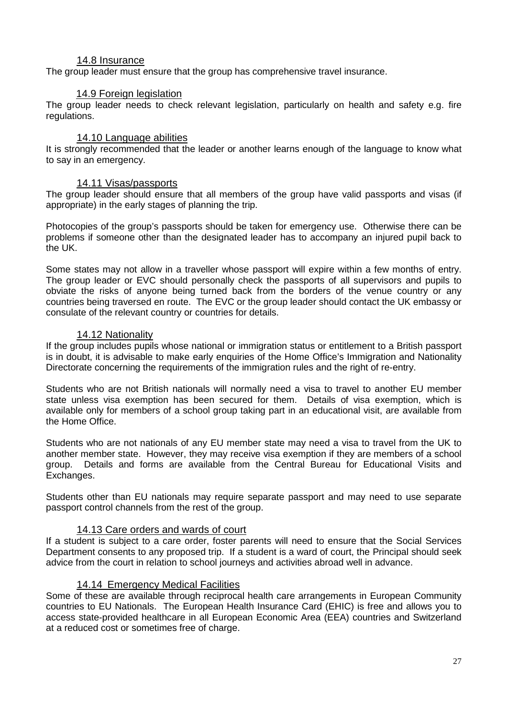#### 14.8 Insurance

<span id="page-26-0"></span>The group leader must ensure that the group has comprehensive travel insurance.

#### 14.9 Foreign legislation

<span id="page-26-1"></span>The group leader needs to check relevant legislation, particularly on health and safety e.g. fire regulations.

#### 14.10 Language abilities

<span id="page-26-2"></span>It is strongly recommended that the leader or another learns enough of the language to know what to say in an emergency.

#### 14.11 Visas/passports

<span id="page-26-3"></span>The group leader should ensure that all members of the group have valid passports and visas (if appropriate) in the early stages of planning the trip.

Photocopies of the group's passports should be taken for emergency use. Otherwise there can be problems if someone other than the designated leader has to accompany an injured pupil back to the UK.

Some states may not allow in a traveller whose passport will expire within a few months of entry. The group leader or EVC should personally check the passports of all supervisors and pupils to obviate the risks of anyone being turned back from the borders of the venue country or any countries being traversed en route. The EVC or the group leader should contact the UK embassy or consulate of the relevant country or countries for details.

#### 14.12 Nationality

<span id="page-26-4"></span>If the group includes pupils whose national or immigration status or entitlement to a British passport is in doubt, it is advisable to make early enquiries of the Home Office's Immigration and Nationality Directorate concerning the requirements of the immigration rules and the right of re-entry.

Students who are not British nationals will normally need a visa to travel to another EU member state unless visa exemption has been secured for them. Details of visa exemption, which is available only for members of a school group taking part in an educational visit, are available from the Home Office.

Students who are not nationals of any EU member state may need a visa to travel from the UK to another member state. However, they may receive visa exemption if they are members of a school group. Details and forms are available from the Central Bureau for Educational Visits and Exchanges.

Students other than EU nationals may require separate passport and may need to use separate passport control channels from the rest of the group.

#### 14.13 Care orders and wards of court

<span id="page-26-5"></span>If a student is subject to a care order, foster parents will need to ensure that the Social Services Department consents to any proposed trip. If a student is a ward of court, the Principal should seek advice from the court in relation to school journeys and activities abroad well in advance.

#### 14.14 Emergency Medical Facilities

<span id="page-26-6"></span>Some of these are available through reciprocal health care arrangements in European Community countries to EU Nationals. The European Health Insurance Card (EHIC) is free and allows you to access state-provided healthcare in all European Economic Area (EEA) countries and Switzerland at a reduced cost or sometimes free of charge.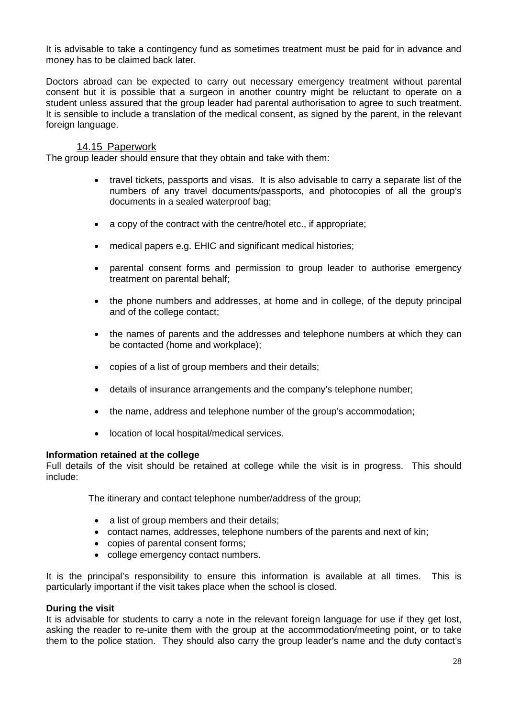It is advisable to take a contingency fund as sometimes treatment must be paid for in advance and money has to be claimed back later.

Doctors abroad can be expected to carry out necessary emergency treatment without parental consent but it is possible that a surgeon in another country might be reluctant to operate on a student unless assured that the group leader had parental authorisation to agree to such treatment. It is sensible to include a translation of the medical consent, as signed by the parent, in the relevant foreign language.

#### 14.15 Paperwork

<span id="page-27-0"></span>The group leader should ensure that they obtain and take with them:

- travel tickets, passports and visas. It is also advisable to carry a separate list of the numbers of any travel documents/passports, and photocopies of all the group's documents in a sealed waterproof bag;
- a copy of the contract with the centre/hotel etc., if appropriate;
- medical papers e.g. EHIC and significant medical histories;
- parental consent forms and permission to group leader to authorise emergency treatment on parental behalf;
- the phone numbers and addresses, at home and in college, of the deputy principal and of the college contact;
- the names of parents and the addresses and telephone numbers at which they can be contacted (home and workplace);
- copies of a list of group members and their details;
- details of insurance arrangements and the company's telephone number;
- the name, address and telephone number of the group's accommodation;
- location of local hospital/medical services.

#### <span id="page-27-1"></span>**Information retained at the college**

Full details of the visit should be retained at college while the visit is in progress. This should include:

The itinerary and contact telephone number/address of the group;

- a list of group members and their details;
- contact names, addresses, telephone numbers of the parents and next of kin;
- copies of parental consent forms;
- college emergency contact numbers.

It is the principal's responsibility to ensure this information is available at all times. This is particularly important if the visit takes place when the school is closed.

#### <span id="page-27-2"></span>**During the visit**

It is advisable for students to carry a note in the relevant foreign language for use if they get lost, asking the reader to re-unite them with the group at the accommodation/meeting point, or to take them to the police station. They should also carry the group leader's name and the duty contact's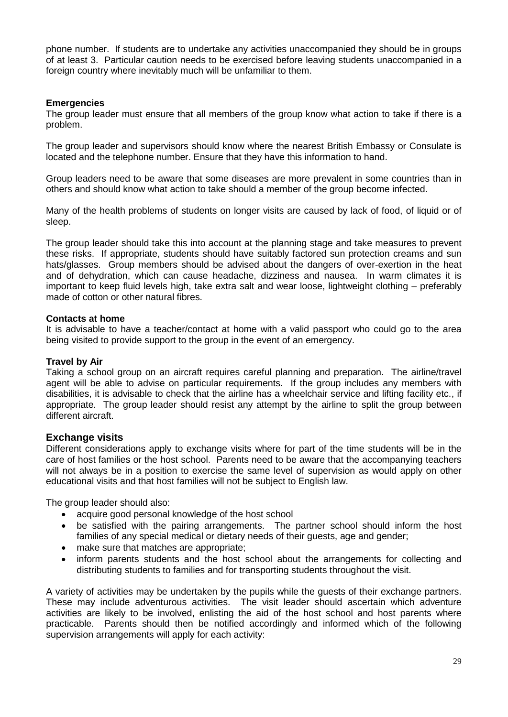phone number. If students are to undertake any activities unaccompanied they should be in groups of at least 3. Particular caution needs to be exercised before leaving students unaccompanied in a foreign country where inevitably much will be unfamiliar to them.

#### <span id="page-28-0"></span>**Emergencies**

The group leader must ensure that all members of the group know what action to take if there is a problem.

The group leader and supervisors should know where the nearest British Embassy or Consulate is located and the telephone number. Ensure that they have this information to hand.

Group leaders need to be aware that some diseases are more prevalent in some countries than in others and should know what action to take should a member of the group become infected.

Many of the health problems of students on longer visits are caused by lack of food, of liquid or of sleep.

The group leader should take this into account at the planning stage and take measures to prevent these risks. If appropriate, students should have suitably factored sun protection creams and sun hats/glasses. Group members should be advised about the dangers of over-exertion in the heat and of dehydration, which can cause headache, dizziness and nausea. In warm climates it is important to keep fluid levels high, take extra salt and wear loose, lightweight clothing – preferably made of cotton or other natural fibres.

#### <span id="page-28-1"></span>**Contacts at home**

It is advisable to have a teacher/contact at home with a valid passport who could go to the area being visited to provide support to the group in the event of an emergency.

#### <span id="page-28-2"></span>**Travel by Air**

Taking a school group on an aircraft requires careful planning and preparation. The airline/travel agent will be able to advise on particular requirements. If the group includes any members with disabilities, it is advisable to check that the airline has a wheelchair service and lifting facility etc., if appropriate. The group leader should resist any attempt by the airline to split the group between different aircraft.

#### <span id="page-28-3"></span>**Exchange visits**

Different considerations apply to exchange visits where for part of the time students will be in the care of host families or the host school. Parents need to be aware that the accompanying teachers will not always be in a position to exercise the same level of supervision as would apply on other educational visits and that host families will not be subject to English law.

The group leader should also:

- acquire good personal knowledge of the host school
- be satisfied with the pairing arrangements. The partner school should inform the host families of any special medical or dietary needs of their guests, age and gender;
- make sure that matches are appropriate;
- inform parents students and the host school about the arrangements for collecting and distributing students to families and for transporting students throughout the visit.

A variety of activities may be undertaken by the pupils while the guests of their exchange partners. These may include adventurous activities. The visit leader should ascertain which adventure activities are likely to be involved, enlisting the aid of the host school and host parents where practicable. Parents should then be notified accordingly and informed which of the following supervision arrangements will apply for each activity: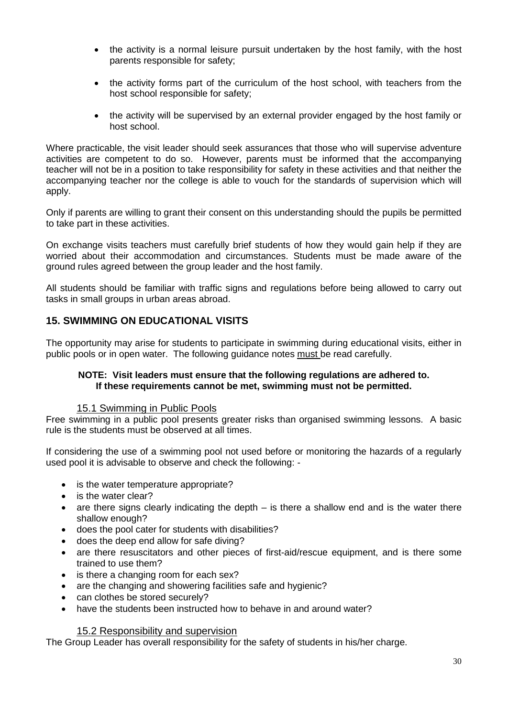- the activity is a normal leisure pursuit undertaken by the host family, with the host parents responsible for safety;
- the activity forms part of the curriculum of the host school, with teachers from the host school responsible for safety;
- the activity will be supervised by an external provider engaged by the host family or host school.

Where practicable, the visit leader should seek assurances that those who will supervise adventure activities are competent to do so. However, parents must be informed that the accompanying teacher will not be in a position to take responsibility for safety in these activities and that neither the accompanying teacher nor the college is able to vouch for the standards of supervision which will apply.

Only if parents are willing to grant their consent on this understanding should the pupils be permitted to take part in these activities.

On exchange visits teachers must carefully brief students of how they would gain help if they are worried about their accommodation and circumstances. Students must be made aware of the ground rules agreed between the group leader and the host family.

All students should be familiar with traffic signs and regulations before being allowed to carry out tasks in small groups in urban areas abroad.

#### <span id="page-29-0"></span>**15. SWIMMING ON EDUCATIONAL VISITS**

The opportunity may arise for students to participate in swimming during educational visits, either in public pools or in open water. The following guidance notes must be read carefully.

#### **NOTE: Visit leaders must ensure that the following regulations are adhered to. If these requirements cannot be met, swimming must not be permitted.**

#### 15.1 Swimming in Public Pools

<span id="page-29-1"></span>Free swimming in a public pool presents greater risks than organised swimming lessons. A basic rule is the students must be observed at all times.

If considering the use of a swimming pool not used before or monitoring the hazards of a regularly used pool it is advisable to observe and check the following: -

- is the water temperature appropriate?
- is the water clear?
- are there signs clearly indicating the depth is there a shallow end and is the water there shallow enough?
- does the pool cater for students with disabilities?
- does the deep end allow for safe diving?
- are there resuscitators and other pieces of first-aid/rescue equipment, and is there some trained to use them?
- is there a changing room for each sex?
- are the changing and showering facilities safe and hygienic?
- can clothes be stored securely?
- have the students been instructed how to behave in and around water?

#### 15.2 Responsibility and supervision

<span id="page-29-2"></span>The Group Leader has overall responsibility for the safety of students in his/her charge.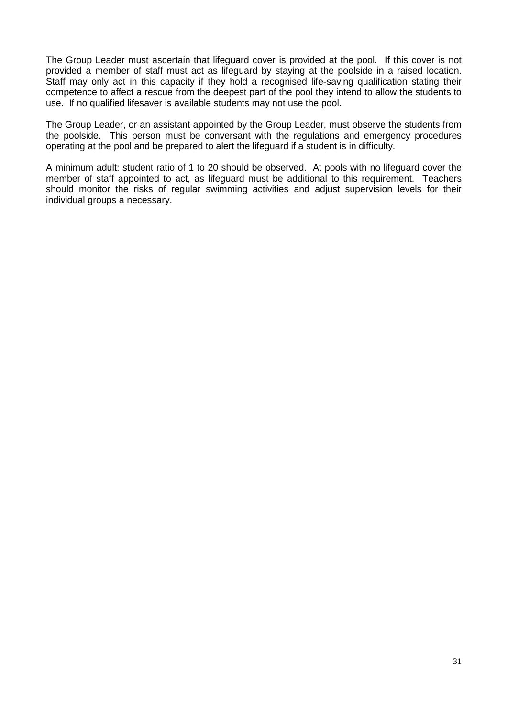The Group Leader must ascertain that lifeguard cover is provided at the pool. If this cover is not provided a member of staff must act as lifeguard by staying at the poolside in a raised location. Staff may only act in this capacity if they hold a recognised life-saving qualification stating their competence to affect a rescue from the deepest part of the pool they intend to allow the students to use. If no qualified lifesaver is available students may not use the pool.

The Group Leader, or an assistant appointed by the Group Leader, must observe the students from the poolside. This person must be conversant with the regulations and emergency procedures operating at the pool and be prepared to alert the lifeguard if a student is in difficulty.

A minimum adult: student ratio of 1 to 20 should be observed. At pools with no lifeguard cover the member of staff appointed to act, as lifeguard must be additional to this requirement. Teachers should monitor the risks of regular swimming activities and adjust supervision levels for their individual groups a necessary.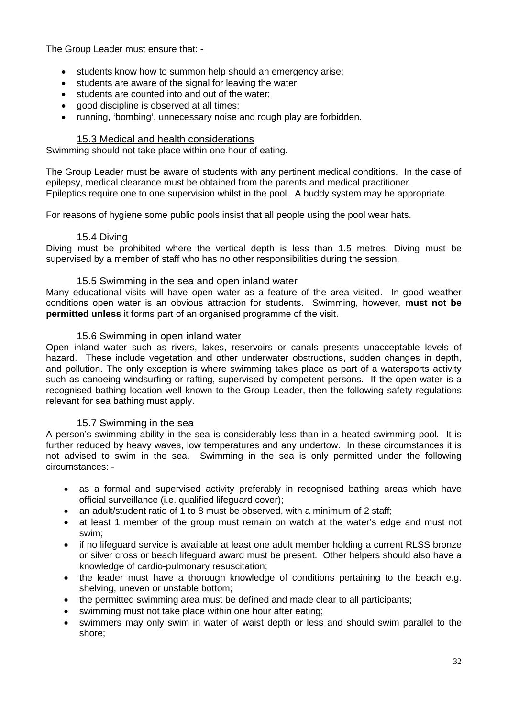The Group Leader must ensure that: -

- students know how to summon help should an emergency arise;
- students are aware of the signal for leaving the water;
- students are counted into and out of the water;
- good discipline is observed at all times;
- running, 'bombing', unnecessary noise and rough play are forbidden.

#### 15.3 Medical and health considerations

<span id="page-31-0"></span>Swimming should not take place within one hour of eating.

The Group Leader must be aware of students with any pertinent medical conditions. In the case of epilepsy, medical clearance must be obtained from the parents and medical practitioner. Epileptics require one to one supervision whilst in the pool. A buddy system may be appropriate.

For reasons of hygiene some public pools insist that all people using the pool wear hats.

#### 15.4 Diving

<span id="page-31-1"></span>Diving must be prohibited where the vertical depth is less than 1.5 metres. Diving must be supervised by a member of staff who has no other responsibilities during the session.

#### 15.5 Swimming in the sea and open inland water

<span id="page-31-2"></span>Many educational visits will have open water as a feature of the area visited. In good weather conditions open water is an obvious attraction for students. Swimming, however, **must not be permitted unless** it forms part of an organised programme of the visit.

#### 15.6 Swimming in open inland water

<span id="page-31-3"></span>Open inland water such as rivers, lakes, reservoirs or canals presents unacceptable levels of hazard. These include vegetation and other underwater obstructions, sudden changes in depth, and pollution. The only exception is where swimming takes place as part of a watersports activity such as canoeing windsurfing or rafting, supervised by competent persons. If the open water is a recognised bathing location well known to the Group Leader, then the following safety regulations relevant for sea bathing must apply.

#### 15.7 Swimming in the sea

<span id="page-31-4"></span>A person's swimming ability in the sea is considerably less than in a heated swimming pool. It is further reduced by heavy waves, low temperatures and any undertow. In these circumstances it is not advised to swim in the sea. Swimming in the sea is only permitted under the following circumstances: -

- as a formal and supervised activity preferably in recognised bathing areas which have official surveillance (i.e. qualified lifeguard cover);
- an adult/student ratio of 1 to 8 must be observed, with a minimum of 2 staff;
- at least 1 member of the group must remain on watch at the water's edge and must not swim;
- if no lifeguard service is available at least one adult member holding a current RLSS bronze or silver cross or beach lifeguard award must be present. Other helpers should also have a knowledge of cardio-pulmonary resuscitation;
- the leader must have a thorough knowledge of conditions pertaining to the beach e.g. shelving, uneven or unstable bottom;
- the permitted swimming area must be defined and made clear to all participants;
- swimming must not take place within one hour after eating;
- swimmers may only swim in water of waist depth or less and should swim parallel to the shore;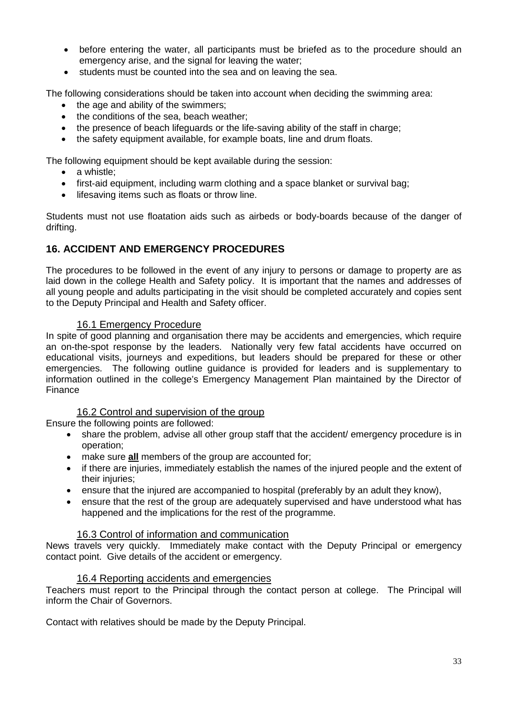- before entering the water, all participants must be briefed as to the procedure should an emergency arise, and the signal for leaving the water;
- students must be counted into the sea and on leaving the sea.

The following considerations should be taken into account when deciding the swimming area:

- the age and ability of the swimmers:
- the conditions of the sea, beach weather;
- the presence of beach lifeguards or the life-saving ability of the staff in charge;
- the safety equipment available, for example boats, line and drum floats.

The following equipment should be kept available during the session:

- a whistle:
- first-aid equipment, including warm clothing and a space blanket or survival bag;
- lifesaving items such as floats or throw line.

Students must not use floatation aids such as airbeds or body-boards because of the danger of drifting.

#### <span id="page-32-0"></span>**16. ACCIDENT AND EMERGENCY PROCEDURES**

The procedures to be followed in the event of any injury to persons or damage to property are as laid down in the college Health and Safety policy. It is important that the names and addresses of all young people and adults participating in the visit should be completed accurately and copies sent to the Deputy Principal and Health and Safety officer.

#### 16.1 Emergency Procedure

<span id="page-32-1"></span>In spite of good planning and organisation there may be accidents and emergencies, which require an on-the-spot response by the leaders. Nationally very few fatal accidents have occurred on educational visits, journeys and expeditions, but leaders should be prepared for these or other emergencies. The following outline guidance is provided for leaders and is supplementary to information outlined in the college's Emergency Management Plan maintained by the Director of Finance

#### 16.2 Control and supervision of the group

<span id="page-32-2"></span>Ensure the following points are followed:

- share the problem, advise all other group staff that the accident/ emergency procedure is in operation;
- make sure **all** members of the group are accounted for;
- if there are injuries, immediately establish the names of the injured people and the extent of their injuries;
- ensure that the injured are accompanied to hospital (preferably by an adult they know),
- ensure that the rest of the group are adequately supervised and have understood what has happened and the implications for the rest of the programme.

#### 16.3 Control of information and communication

<span id="page-32-3"></span>News travels very quickly. Immediately make contact with the Deputy Principal or emergency contact point. Give details of the accident or emergency.

#### 16.4 Reporting accidents and emergencies

<span id="page-32-4"></span>Teachers must report to the Principal through the contact person at college. The Principal will inform the Chair of Governors.

Contact with relatives should be made by the Deputy Principal.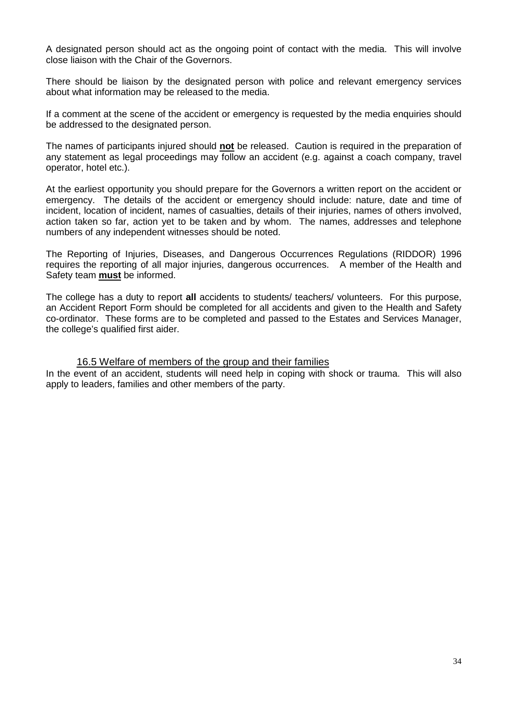A designated person should act as the ongoing point of contact with the media. This will involve close liaison with the Chair of the Governors.

There should be liaison by the designated person with police and relevant emergency services about what information may be released to the media.

If a comment at the scene of the accident or emergency is requested by the media enquiries should be addressed to the designated person.

The names of participants injured should **not** be released. Caution is required in the preparation of any statement as legal proceedings may follow an accident (e.g. against a coach company, travel operator, hotel etc.).

At the earliest opportunity you should prepare for the Governors a written report on the accident or emergency. The details of the accident or emergency should include: nature, date and time of incident, location of incident, names of casualties, details of their injuries, names of others involved, action taken so far, action yet to be taken and by whom. The names, addresses and telephone numbers of any independent witnesses should be noted.

The Reporting of Injuries, Diseases, and Dangerous Occurrences Regulations (RIDDOR) 1996 requires the reporting of all major injuries, dangerous occurrences. A member of the Health and Safety team **must** be informed.

The college has a duty to report **all** accidents to students/ teachers/ volunteers. For this purpose, an Accident Report Form should be completed for all accidents and given to the Health and Safety co-ordinator. These forms are to be completed and passed to the Estates and Services Manager, the college's qualified first aider.

#### 16.5 Welfare of members of the group and their families

<span id="page-33-0"></span>In the event of an accident, students will need help in coping with shock or trauma. This will also apply to leaders, families and other members of the party.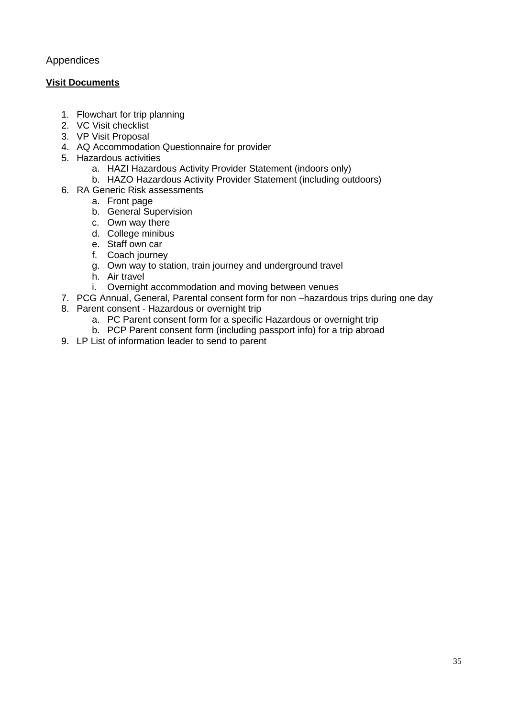#### <span id="page-34-0"></span>Appendices

#### **Visit Documents**

- 1. Flowchart for trip planning
- 2. VC Visit checklist
- 3. VP Visit Proposal
- 4. AQ Accommodation Questionnaire for provider
- 5. Hazardous activities
	- a. HAZI Hazardous Activity Provider Statement (indoors only)
	- b. HAZO Hazardous Activity Provider Statement (including outdoors)
- 6. RA Generic Risk assessments
	- a. Front page
	- b. General Supervision
	- c. Own way there
	- d. College minibus
	- e. Staff own car
	- f. Coach journey
	- g. Own way to station, train journey and underground travel
	- h. Air travel
	- i. Overnight accommodation and moving between venues
- 7. PCG Annual, General, Parental consent form for non –hazardous trips during one day
- 8. Parent consent Hazardous or overnight trip
	- a. PC Parent consent form for a specific Hazardous or overnight trip
	- b. PCP Parent consent form (including passport info) for a trip abroad
- 9. LP List of information leader to send to parent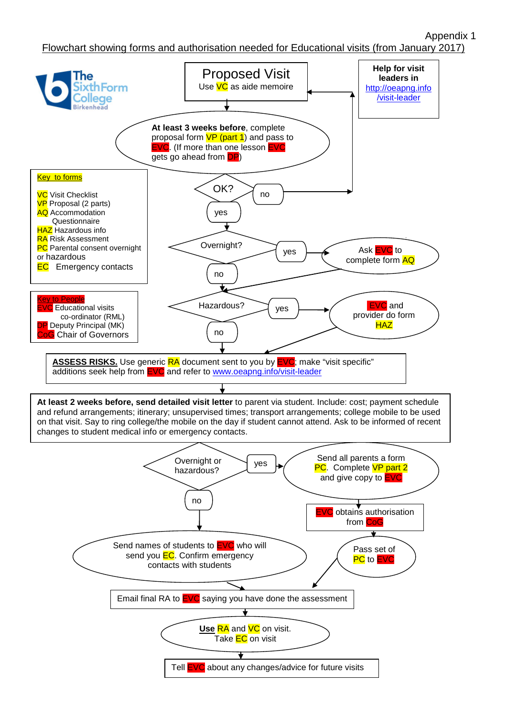Appendix 1

Flowchart showing forms and authorisation needed for Educational visits (from January 2017)

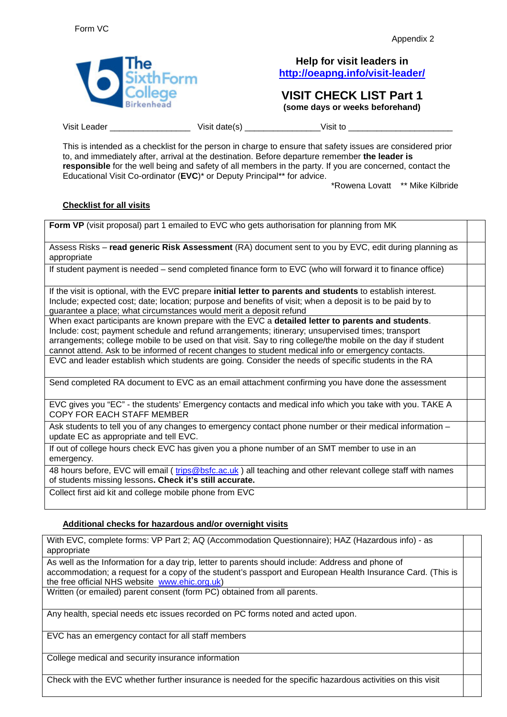

#### **Help for visit leaders in <http://oeapng.info/visit-leader/>**

### **VISIT CHECK LIST Part 1**

**(some days or weeks beforehand)**

Visit Leader \_\_\_\_\_\_\_\_\_\_\_\_\_\_\_\_\_\_\_\_\_\_\_\_\_\_\_ Visit date(s) \_\_\_\_\_\_\_\_\_\_\_\_\_\_\_\_\_\_\_\_\_\_\_\_\_ Visit to

This is intended as a checklist for the person in charge to ensure that safety issues are considered prior to, and immediately after, arrival at the destination. Before departure remember **the leader is responsible** for the well being and safety of all members in the party. If you are concerned, contact the Educational Visit Co-ordinator (**EVC**)\* or Deputy Principal\*\* for advice.

\*Rowena Lovatt \*\* Mike Kilbride

#### **Checklist for all visits**

**Form VP** (visit proposal) part 1 emailed to EVC who gets authorisation for planning from MK

Assess Risks – **read generic Risk Assessment** (RA) document sent to you by EVC, edit during planning as appropriate

If student payment is needed – send completed finance form to EVC (who will forward it to finance office)

If the visit is optional, with the EVC prepare **initial letter to parents and students** to establish interest. Include; expected cost; date; location; purpose and benefits of visit; when a deposit is to be paid by to guarantee a place; what circumstances would merit a deposit refund

When exact participants are known prepare with the EVC a **detailed letter to parents and students**. Include: cost; payment schedule and refund arrangements; itinerary; unsupervised times; transport arrangements; college mobile to be used on that visit. Say to ring college/the mobile on the day if student cannot attend. Ask to be informed of recent changes to student medical info or emergency contacts. EVC and leader establish which students are going. Consider the needs of specific students in the RA

Send completed RA document to EVC as an email attachment confirming you have done the assessment

EVC gives you "EC" - the students' Emergency contacts and medical info which you take with you. TAKE A COPY FOR EACH STAFF MEMBER

Ask students to tell you of any changes to emergency contact phone number or their medical information update EC as appropriate and tell EVC.

If out of college hours check EVC has given you a phone number of an SMT member to use in an emergency.

48 hours before, EVC will email ( [trips@bsfc.ac.uk](mailto:trips@bsfc.ac.uk) ) all teaching and other relevant college staff with names of students missing lessons**. Check it's still accurate.**

Collect first aid kit and college mobile phone from EVC

#### **Additional checks for hazardous and/or overnight visits**

With EVC, complete forms: VP Part 2; AQ (Accommodation Questionnaire); HAZ (Hazardous info) - as appropriate

As well as the Information for a day trip, letter to parents should include: Address and phone of accommodation; a request for a copy of the student's passport and European Health Insurance Card. (This is the free official NHS website [www.ehic.org.uk\)](http://www.ehic.org.uk/)

Written (or emailed) parent consent (form PC) obtained from all parents.

Any health, special needs etc issues recorded on PC forms noted and acted upon.

EVC has an emergency contact for all staff members

College medical and security insurance information

Check with the EVC whether further insurance is needed for the specific hazardous activities on this visit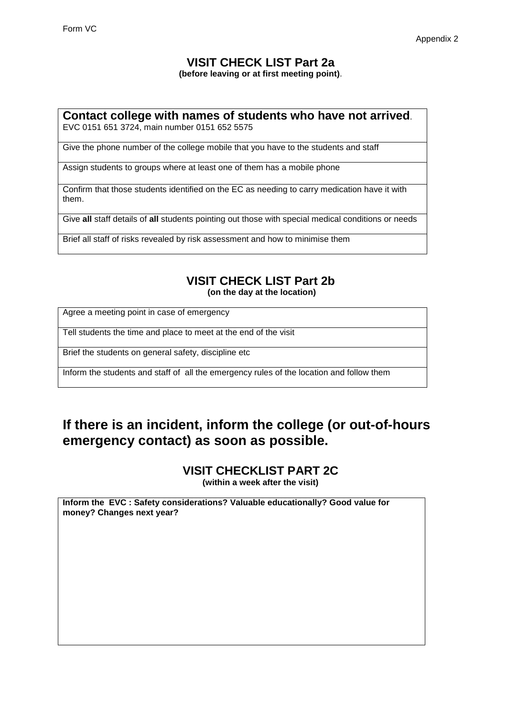### **VISIT CHECK LIST Part 2a**

**(before leaving or at first meeting point)**.

### **Contact college with names of students who have not arrived**.

EVC 0151 651 3724, main number 0151 652 5575

Give the phone number of the college mobile that you have to the students and staff

Assign students to groups where at least one of them has a mobile phone

Confirm that those students identified on the EC as needing to carry medication have it with them.

Give **all** staff details of **all** students pointing out those with special medical conditions or needs

Brief all staff of risks revealed by risk assessment and how to minimise them

### **VISIT CHECK LIST Part 2b**

**(on the day at the location)**

Agree a meeting point in case of emergency

Tell students the time and place to meet at the end of the visit

Brief the students on general safety, discipline etc

Inform the students and staff of all the emergency rules of the location and follow them

### **If there is an incident, inform the college (or out-of-hours emergency contact) as soon as possible.**

**VISIT CHECKLIST PART 2C (within a week after the visit)**

**Inform the EVC : Safety considerations? Valuable educationally? Good value for money? Changes next year?**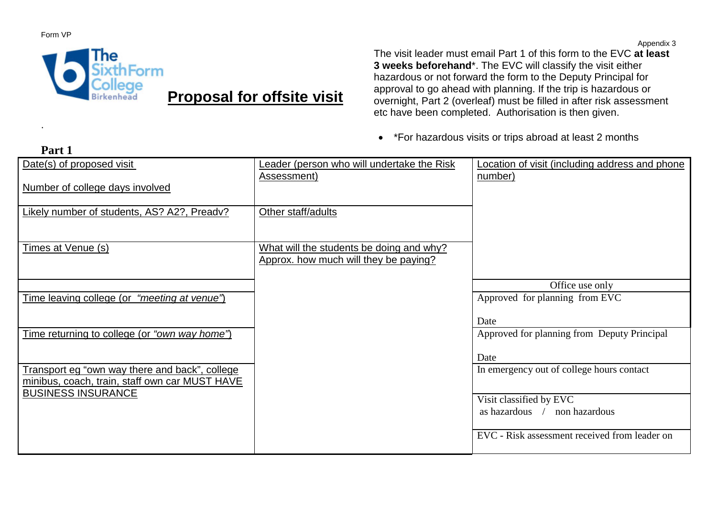Form VP

.

**Part 1**



## **Proposal for offsite visit**

The visit leader must email Part 1 of this form to the EVC **at least 3 weeks beforehand**\*. The EVC will classify the visit either hazardous or not forward the form to the Deputy Principal for approval to go ahead with planning. If the trip is hazardous or overnight, Part 2 (overleaf) must be filled in after risk assessment etc have been completed. Authorisation is then given.

• \*For hazardous visits or trips abroad at least 2 months

| Date(s) of proposed visit                                                                        | Leader (person who will undertake the Risk<br>Assessment)                         | Location of visit (including address and phone<br>number) |
|--------------------------------------------------------------------------------------------------|-----------------------------------------------------------------------------------|-----------------------------------------------------------|
| Number of college days involved                                                                  |                                                                                   |                                                           |
| Likely number of students, AS? A2?, Preadv?                                                      | Other staff/adults                                                                |                                                           |
| Times at Venue (s)                                                                               | What will the students be doing and why?<br>Approx. how much will they be paying? |                                                           |
|                                                                                                  |                                                                                   | Office use only                                           |
| Time leaving college (or "meeting at venue")                                                     |                                                                                   | Approved for planning from EVC                            |
| Time returning to college (or "own way home")                                                    |                                                                                   | Date<br>Approved for planning from Deputy Principal       |
|                                                                                                  |                                                                                   | Date                                                      |
| Transport eg "own way there and back", college<br>minibus, coach, train, staff own car MUST HAVE |                                                                                   | In emergency out of college hours contact                 |
| <b>BUSINESS INSURANCE</b>                                                                        |                                                                                   | Visit classified by EVC<br>as hazardous / non hazardous   |
|                                                                                                  |                                                                                   | EVC - Risk assessment received from leader on             |

Appendix 3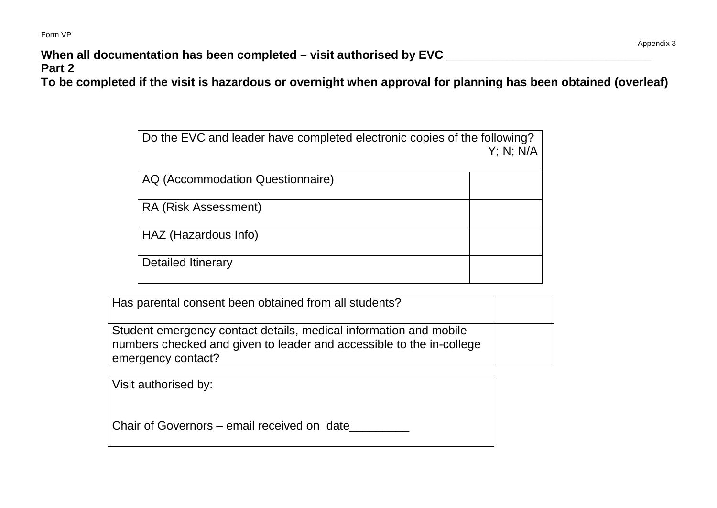Form VP

**When all documentation has been completed – visit authorised by EVC \_\_\_\_\_\_\_\_\_\_\_\_\_\_\_\_\_\_\_\_\_\_\_\_\_\_\_\_\_\_\_**

**Part 2**

**To be completed if the visit is hazardous or overnight when approval for planning has been obtained (overleaf)**

| Do the EVC and leader have completed electronic copies of the following? | $Y$ ; N; N/A |
|--------------------------------------------------------------------------|--------------|
| AQ (Accommodation Questionnaire)                                         |              |
| RA (Risk Assessment)                                                     |              |
| HAZ (Hazardous Info)                                                     |              |
| <b>Detailed Itinerary</b>                                                |              |

| Has parental consent been obtained from all students?                                                                                                           |  |
|-----------------------------------------------------------------------------------------------------------------------------------------------------------------|--|
| Student emergency contact details, medical information and mobile<br>numbers checked and given to leader and accessible to the in-college<br>emergency contact? |  |

| Visit authorised by: |  |  |
|----------------------|--|--|
|                      |  |  |
|                      |  |  |

Chair of Governors – email received on date\_\_\_\_\_\_\_\_\_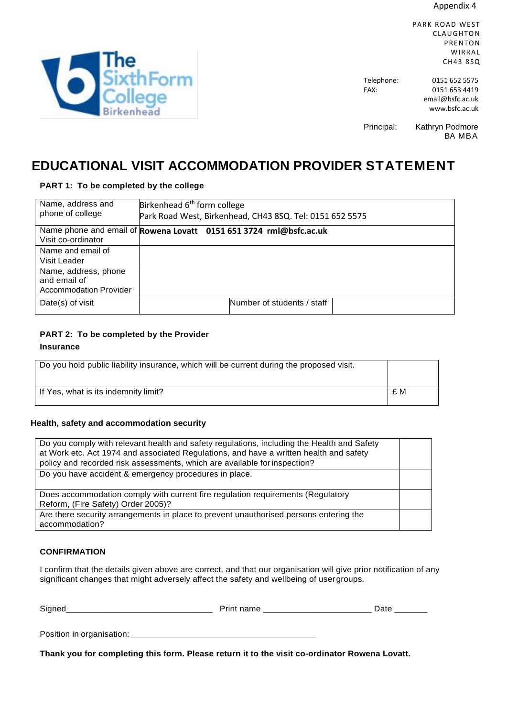Appendix 4

PARK ROAD WEST CLAUGHTON PRENTON WIRRAL CH43 8SQ

Telephone: 0151 652 5575 FAX: 0151 653 4419 [email@bsfc.ac.uk](mailto:email@bsfc.ac.uk) www.bsfc.ac.uk

Principal: Kathryn Podmore BA MBA

### **EDUCATIONAL VISIT ACCOMMODATION PROVIDER STATEMENT**

#### **PART 1: To be completed by the college**

| Name, address and<br>phone of college                                 | Birkenhead 6 <sup>th</sup> form college<br>Park Road West, Birkenhead, CH43 8SQ. Tel: 0151 652 5575 |
|-----------------------------------------------------------------------|-----------------------------------------------------------------------------------------------------|
| Visit co-ordinator                                                    | Name phone and email of Rowena Lovatt 0151 651 3724 rml@bsfc.ac.uk                                  |
| Name and email of<br>Visit Leader                                     |                                                                                                     |
| Name, address, phone<br>and email of<br><b>Accommodation Provider</b> |                                                                                                     |
| Date(s) of visit                                                      | Number of students / staff                                                                          |

#### **PART 2: To be completed by the Provider**

#### **Insurance**

| Do you hold public liability insurance, which will be current during the proposed visit. |     |
|------------------------------------------------------------------------------------------|-----|
| If Yes, what is its indemnity limit?                                                     | £ M |

#### **Health, safety and accommodation security**

| Do you comply with relevant health and safety regulations, including the Health and Safety<br>at Work etc. Act 1974 and associated Regulations, and have a written health and safety<br>policy and recorded risk assessments, which are available for inspection? |  |
|-------------------------------------------------------------------------------------------------------------------------------------------------------------------------------------------------------------------------------------------------------------------|--|
| Do you have accident & emergency procedures in place.                                                                                                                                                                                                             |  |
| Does accommodation comply with current fire regulation requirements (Regulatory<br>Reform, (Fire Safety) Order 2005)?                                                                                                                                             |  |
| Are there security arrangements in place to prevent unauthorised persons entering the<br>accommodation?                                                                                                                                                           |  |

#### **CONFIRMATION**

I confirm that the details given above are correct, and that our organisation will give prior notification of any significant changes that might adversely affect the safety and wellbeing of usergroups.

| Signed                    | Print name | Date   |
|---------------------------|------------|--------|
| Position in organisation: |            |        |
| .<br>$ -$                 |            | -- - - |

**Thank you for completing this form. Please return it to the visit co-ordinator Rowena Lovatt.**

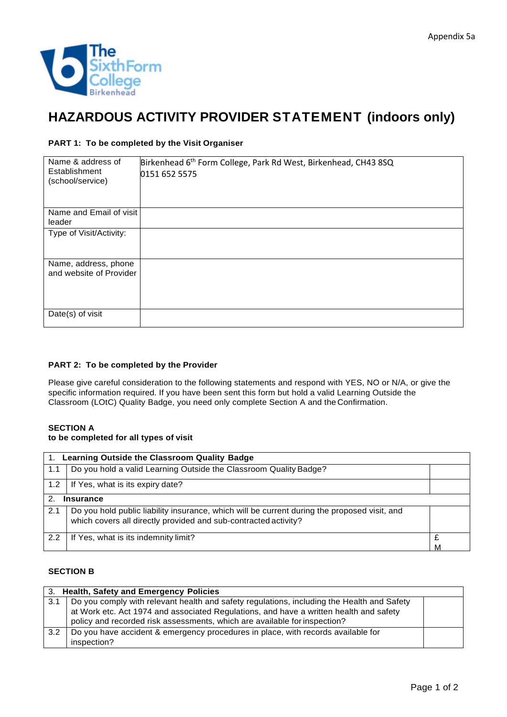

### **HAZARDOUS ACTIVITY PROVIDER STATEMENT (indoors only)**

#### **PART 1: To be completed by the Visit Organiser**

| Name & address of<br>Establishment<br>(school/service) | Birkenhead 6 <sup>th</sup> Form College, Park Rd West, Birkenhead, CH43 8SQ<br>0151 652 5575 |
|--------------------------------------------------------|----------------------------------------------------------------------------------------------|
| Name and Email of visit<br>leader                      |                                                                                              |
| Type of Visit/Activity:                                |                                                                                              |
| Name, address, phone<br>and website of Provider        |                                                                                              |
| Date(s) of visit                                       |                                                                                              |

#### **PART 2: To be completed by the Provider**

Please give careful consideration to the following statements and respond with YES, NO or N/A, or give the specific information required. If you have been sent this form but hold a valid Learning Outside the Classroom (LOtC) Quality Badge, you need only complete Section A and the Confirmation.

#### **SECTION A**

#### **to be completed for all types of visit**

| $1_{-}$       | Learning Outside the Classroom Quality Badge                                                                                                                    |  |  |
|---------------|-----------------------------------------------------------------------------------------------------------------------------------------------------------------|--|--|
| 1.1           | Do you hold a valid Learning Outside the Classroom Quality Badge?                                                                                               |  |  |
| 1.2           | If Yes, what is its expiry date?                                                                                                                                |  |  |
| $\mathcal{P}$ | <b>Insurance</b>                                                                                                                                                |  |  |
| 2.1           | Do you hold public liability insurance, which will be current during the proposed visit, and<br>which covers all directly provided and sub-contracted activity? |  |  |
| 2.2           | If Yes, what is its indemnity limit?                                                                                                                            |  |  |

#### **SECTION B**

| 3. Health, Safety and Emergency Policies |                                                                                                                                                                                                                                                                   |  |
|------------------------------------------|-------------------------------------------------------------------------------------------------------------------------------------------------------------------------------------------------------------------------------------------------------------------|--|
| 3.1                                      | Do you comply with relevant health and safety regulations, including the Health and Safety<br>at Work etc. Act 1974 and associated Regulations, and have a written health and safety<br>policy and recorded risk assessments, which are available for inspection? |  |
| $3.2^{\circ}$                            | Do you have accident & emergency procedures in place, with records available for<br>inspection?                                                                                                                                                                   |  |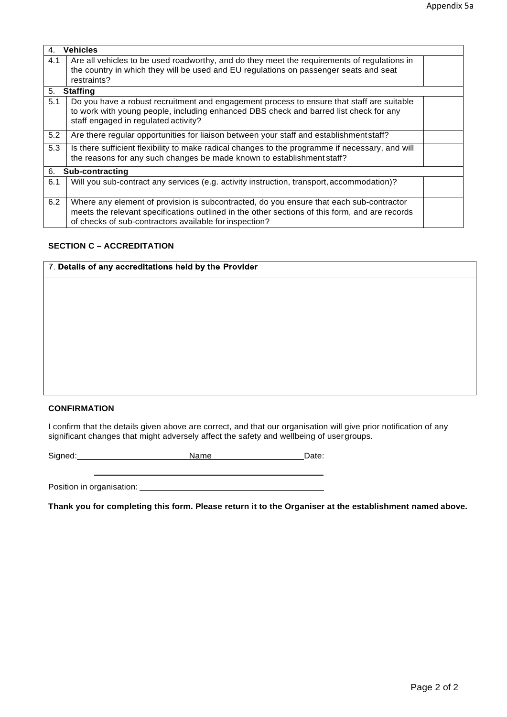| 4.  | <b>Vehicles</b>                                                                                 |  |  |
|-----|-------------------------------------------------------------------------------------------------|--|--|
| 4.1 | Are all vehicles to be used roadworthy, and do they meet the requirements of regulations in     |  |  |
|     | the country in which they will be used and EU regulations on passenger seats and seat           |  |  |
|     | restraints?                                                                                     |  |  |
| 5.  | <b>Staffing</b>                                                                                 |  |  |
| 5.1 | Do you have a robust recruitment and engagement process to ensure that staff are suitable       |  |  |
|     | to work with young people, including enhanced DBS check and barred list check for any           |  |  |
|     | staff engaged in regulated activity?                                                            |  |  |
| 5.2 | Are there regular opportunities for liaison between your staff and establishment staff?         |  |  |
| 5.3 | Is there sufficient flexibility to make radical changes to the programme if necessary, and will |  |  |
|     | the reasons for any such changes be made known to establishment staff?                          |  |  |
| 6.  | Sub-contracting                                                                                 |  |  |
| 6.1 | Will you sub-contract any services (e.g. activity instruction, transport, accommodation)?       |  |  |
| 6.2 | Where any element of provision is subcontracted, do you ensure that each sub-contractor         |  |  |
|     | meets the relevant specifications outlined in the other sections of this form, and are records  |  |  |
|     | of checks of sub-contractors available for inspection?                                          |  |  |

#### **SECTION C – ACCREDITATION**

| 7. Details of any accreditations held by the Provider |  |  |
|-------------------------------------------------------|--|--|
|                                                       |  |  |
|                                                       |  |  |
|                                                       |  |  |
|                                                       |  |  |
|                                                       |  |  |
|                                                       |  |  |
|                                                       |  |  |

#### **CONFIRMATION**

I confirm that the details given above are correct, and that our organisation will give prior notification of any significant changes that might adversely affect the safety and wellbeing of usergroups.

Signed: Name Name Date:

Position in organisation:

**Thank you for completing this form. Please return it to the Organiser at the establishment named above.**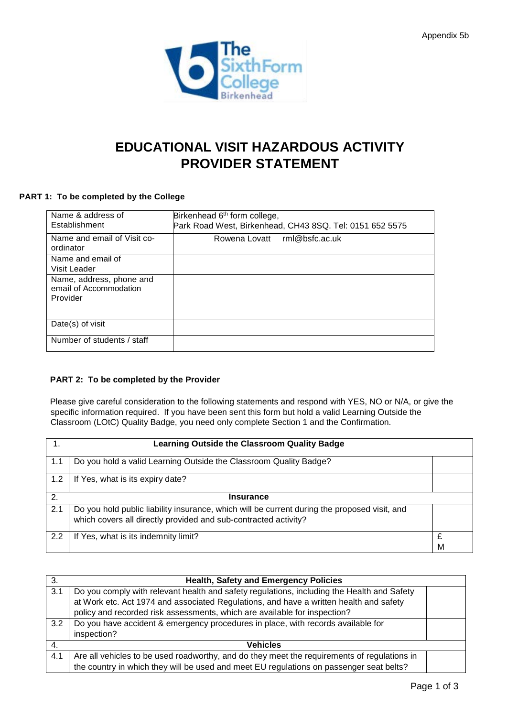

### **EDUCATIONAL VISIT HAZARDOUS ACTIVITY PROVIDER STATEMENT**

#### **PART 1: To be completed by the College**

| Name & address of<br>Establishment                             | Birkenhead 6 <sup>th</sup> form college,<br>Park Road West, Birkenhead, CH43 8SQ. Tel: 0151 652 5575 |
|----------------------------------------------------------------|------------------------------------------------------------------------------------------------------|
| Name and email of Visit co-<br>ordinator                       | Rowena Lovatt rml@bsfc.ac.uk                                                                         |
| Name and email of<br>Visit Leader                              |                                                                                                      |
| Name, address, phone and<br>email of Accommodation<br>Provider |                                                                                                      |
| Date(s) of visit                                               |                                                                                                      |
| Number of students / staff                                     |                                                                                                      |

#### **PART 2: To be completed by the Provider**

Please give careful consideration to the following statements and respond with YES, NO or N/A, or give the specific information required. If you have been sent this form but hold a valid Learning Outside the Classroom (LOtC) Quality Badge, you need only complete Section 1 and the Confirmation.

|     | <b>Learning Outside the Classroom Quality Badge</b>                                                                                                             |        |  |
|-----|-----------------------------------------------------------------------------------------------------------------------------------------------------------------|--------|--|
| 1.1 | Do you hold a valid Learning Outside the Classroom Quality Badge?                                                                                               |        |  |
| 1.2 | If Yes, what is its expiry date?                                                                                                                                |        |  |
| 2.  | <b>Insurance</b>                                                                                                                                                |        |  |
| 2.1 | Do you hold public liability insurance, which will be current during the proposed visit, and<br>which covers all directly provided and sub-contracted activity? |        |  |
| 2.2 | If Yes, what is its indemnity limit?                                                                                                                            | £<br>M |  |

| -3. | <b>Health, Safety and Emergency Policies</b>                                                |  |
|-----|---------------------------------------------------------------------------------------------|--|
| 3.1 | Do you comply with relevant health and safety regulations, including the Health and Safety  |  |
|     | at Work etc. Act 1974 and associated Regulations, and have a written health and safety      |  |
|     | policy and recorded risk assessments, which are available for inspection?                   |  |
| 3.2 | Do you have accident & emergency procedures in place, with records available for            |  |
|     | inspection?                                                                                 |  |
|     | <b>Vehicles</b>                                                                             |  |
| 4.1 | Are all vehicles to be used roadworthy, and do they meet the requirements of regulations in |  |
|     | the country in which they will be used and meet EU regulations on passenger seat belts?     |  |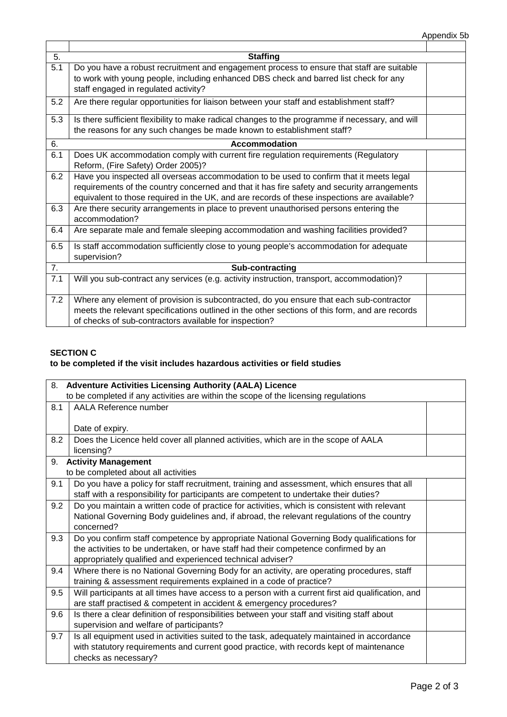| 5.  | <b>Staffing</b>                                                                                                                                                                                                                                                                       |  |
|-----|---------------------------------------------------------------------------------------------------------------------------------------------------------------------------------------------------------------------------------------------------------------------------------------|--|
| 5.1 | Do you have a robust recruitment and engagement process to ensure that staff are suitable<br>to work with young people, including enhanced DBS check and barred list check for any<br>staff engaged in regulated activity?                                                            |  |
| 5.2 | Are there regular opportunities for liaison between your staff and establishment staff?                                                                                                                                                                                               |  |
| 5.3 | Is there sufficient flexibility to make radical changes to the programme if necessary, and will<br>the reasons for any such changes be made known to establishment staff?                                                                                                             |  |
| 6.  | <b>Accommodation</b>                                                                                                                                                                                                                                                                  |  |
| 6.1 | Does UK accommodation comply with current fire regulation requirements (Regulatory<br>Reform, (Fire Safety) Order 2005)?                                                                                                                                                              |  |
| 6.2 | Have you inspected all overseas accommodation to be used to confirm that it meets legal<br>requirements of the country concerned and that it has fire safety and security arrangements<br>equivalent to those required in the UK, and are records of these inspections are available? |  |
| 6.3 | Are there security arrangements in place to prevent unauthorised persons entering the<br>accommodation?                                                                                                                                                                               |  |
| 6.4 | Are separate male and female sleeping accommodation and washing facilities provided?                                                                                                                                                                                                  |  |
| 6.5 | Is staff accommodation sufficiently close to young people's accommodation for adequate<br>supervision?                                                                                                                                                                                |  |
| 7.  | Sub-contracting                                                                                                                                                                                                                                                                       |  |
| 7.1 | Will you sub-contract any services (e.g. activity instruction, transport, accommodation)?                                                                                                                                                                                             |  |
| 7.2 | Where any element of provision is subcontracted, do you ensure that each sub-contractor<br>meets the relevant specifications outlined in the other sections of this form, and are records<br>of checks of sub-contractors available for inspection?                                   |  |

#### **SECTION C**

#### **to be completed if the visit includes hazardous activities or field studies**

| 8. Adventure Activities Licensing Authority (AALA) Licence                          |                                                                                                    |  |
|-------------------------------------------------------------------------------------|----------------------------------------------------------------------------------------------------|--|
| to be completed if any activities are within the scope of the licensing regulations |                                                                                                    |  |
| 8.1                                                                                 | AALA Reference number                                                                              |  |
|                                                                                     |                                                                                                    |  |
|                                                                                     | Date of expiry.                                                                                    |  |
| 8.2                                                                                 | Does the Licence held cover all planned activities, which are in the scope of AALA                 |  |
|                                                                                     | licensing?                                                                                         |  |
| 9.                                                                                  | <b>Activity Management</b>                                                                         |  |
|                                                                                     | to be completed about all activities                                                               |  |
| 9.1                                                                                 | Do you have a policy for staff recruitment, training and assessment, which ensures that all        |  |
|                                                                                     | staff with a responsibility for participants are competent to undertake their duties?              |  |
| 9.2                                                                                 | Do you maintain a written code of practice for activities, which is consistent with relevant       |  |
|                                                                                     | National Governing Body guidelines and, if abroad, the relevant regulations of the country         |  |
|                                                                                     | concerned?                                                                                         |  |
| 9.3                                                                                 | Do you confirm staff competence by appropriate National Governing Body qualifications for          |  |
|                                                                                     | the activities to be undertaken, or have staff had their competence confirmed by an                |  |
|                                                                                     | appropriately qualified and experienced technical adviser?                                         |  |
| 9.4                                                                                 | Where there is no National Governing Body for an activity, are operating procedures, staff         |  |
|                                                                                     | training & assessment requirements explained in a code of practice?                                |  |
| 9.5                                                                                 | Will participants at all times have access to a person with a current first aid qualification, and |  |
|                                                                                     | are staff practised & competent in accident & emergency procedures?                                |  |
| 9.6                                                                                 | Is there a clear definition of responsibilities between your staff and visiting staff about        |  |
|                                                                                     | supervision and welfare of participants?                                                           |  |
| 9.7                                                                                 | Is all equipment used in activities suited to the task, adequately maintained in accordance        |  |
|                                                                                     | with statutory requirements and current good practice, with records kept of maintenance            |  |
|                                                                                     | checks as necessary?                                                                               |  |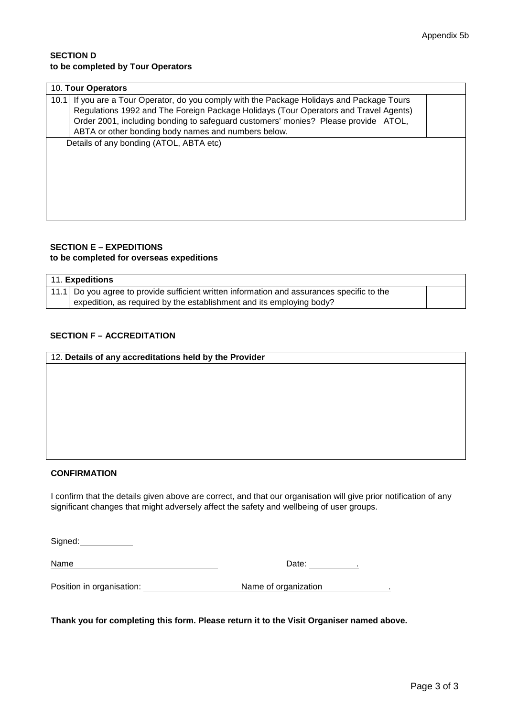#### **SECTION D to be completed by Tour Operators**

| 10. Tour Operators                                                                            |  |  |
|-----------------------------------------------------------------------------------------------|--|--|
| If you are a Tour Operator, do you comply with the Package Holidays and Package Tours<br>10.1 |  |  |
| Regulations 1992 and The Foreign Package Holidays (Tour Operators and Travel Agents)          |  |  |
| Order 2001, including bonding to safeguard customers' monies? Please provide ATOL,            |  |  |
| ABTA or other bonding body names and numbers below.                                           |  |  |
| Details of any bonding (ATOL, ABTA etc)                                                       |  |  |
|                                                                                               |  |  |
|                                                                                               |  |  |
|                                                                                               |  |  |
|                                                                                               |  |  |
|                                                                                               |  |  |
|                                                                                               |  |  |
|                                                                                               |  |  |

### **SECTION E – EXPEDITIONS**

#### **to be completed for overseas expeditions**

| 11. Expeditions                                                                            |  |  |
|--------------------------------------------------------------------------------------------|--|--|
| 11.1 Do you agree to provide sufficient written information and assurances specific to the |  |  |
| expedition, as required by the establishment and its employing body?                       |  |  |

#### **SECTION F – ACCREDITATION**

| 12. Details of any accreditations held by the Provider |  |
|--------------------------------------------------------|--|
|                                                        |  |
|                                                        |  |
|                                                        |  |
|                                                        |  |
|                                                        |  |
|                                                        |  |
|                                                        |  |
|                                                        |  |

#### **CONFIRMATION**

I confirm that the details given above are correct, and that our organisation will give prior notification of any significant changes that might adversely affect the safety and wellbeing of user groups.

Signed:

Name Date: .

Position in organisation: Name of organization .

**Thank you for completing this form. Please return it to the Visit Organiser named above.**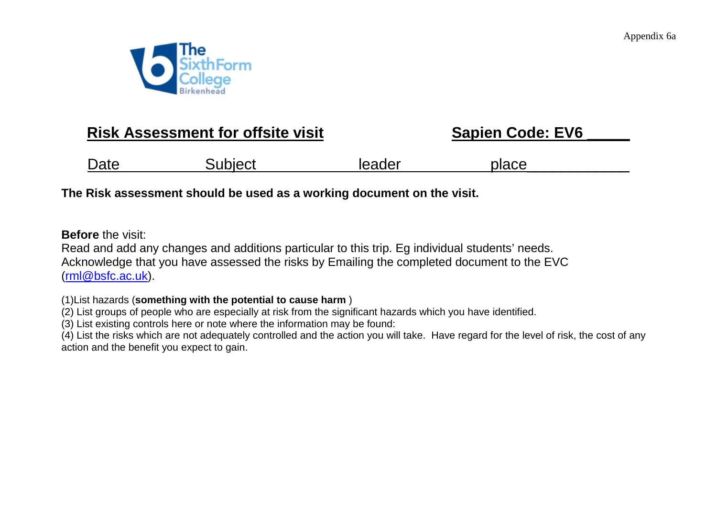

### **Risk Assessment for offsite visit EXEC Sapien Code: EV6**

| <b>Date</b> | Subject | leader | place |
|-------------|---------|--------|-------|
|             |         |        |       |

**The Risk assessment should be used as a working document on the visit.** 

**Before** the visit:

Read and add any changes and additions particular to this trip. Eg individual students' needs. Acknowledge that you have assessed the risks by Emailing the completed document to the EVC [\(rml@bsfc.ac.uk\)](mailto:rml@bsfc.ac.uk).

(1)List hazards (**something with the potential to cause harm** )

(2) List groups of people who are especially at risk from the significant hazards which you have identified.

(3) List existing controls here or note where the information may be found:

(4) List the risks which are not adequately controlled and the action you will take. Have regard for the level of risk, the cost of any action and the benefit you expect to gain.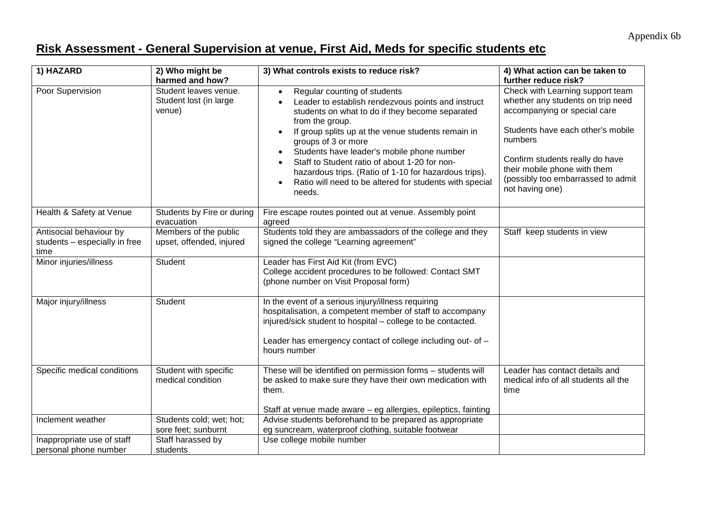### **Risk Assessment - General Supervision at venue, First Aid, Meds for specific students etc**

| 1) HAZARD                                                        | 2) Who might be<br>harmed and how?                        | 3) What controls exists to reduce risk?                                                                                                                                                                                                                                                                                                                                                                                                                                                      | 4) What action can be taken to<br>further reduce risk?                                                                                                                                                                                                                            |
|------------------------------------------------------------------|-----------------------------------------------------------|----------------------------------------------------------------------------------------------------------------------------------------------------------------------------------------------------------------------------------------------------------------------------------------------------------------------------------------------------------------------------------------------------------------------------------------------------------------------------------------------|-----------------------------------------------------------------------------------------------------------------------------------------------------------------------------------------------------------------------------------------------------------------------------------|
| Poor Supervision                                                 | Student leaves venue.<br>Student lost (in large<br>venue) | Regular counting of students<br>$\bullet$<br>Leader to establish rendezvous points and instruct<br>students on what to do if they become separated<br>from the group.<br>If group splits up at the venue students remain in<br>$\bullet$<br>groups of 3 or more<br>Students have leader's mobile phone number<br>Staff to Student ratio of about 1-20 for non-<br>hazardous trips. (Ratio of 1-10 for hazardous trips).<br>Ratio will need to be altered for students with special<br>needs. | Check with Learning support team<br>whether any students on trip need<br>accompanying or special care<br>Students have each other's mobile<br>numbers<br>Confirm students really do have<br>their mobile phone with them<br>(possibly too embarrassed to admit<br>not having one) |
| Health & Safety at Venue                                         | Students by Fire or during<br>evacuation                  | Fire escape routes pointed out at venue. Assembly point<br>agreed                                                                                                                                                                                                                                                                                                                                                                                                                            |                                                                                                                                                                                                                                                                                   |
| Antisocial behaviour by<br>students - especially in free<br>time | Members of the public<br>upset, offended, injured         | Students told they are ambassadors of the college and they<br>signed the college "Learning agreement"                                                                                                                                                                                                                                                                                                                                                                                        | Staff keep students in view                                                                                                                                                                                                                                                       |
| Minor injuries/illness                                           | Student                                                   | Leader has First Aid Kit (from EVC)<br>College accident procedures to be followed: Contact SMT<br>(phone number on Visit Proposal form)                                                                                                                                                                                                                                                                                                                                                      |                                                                                                                                                                                                                                                                                   |
| Major injury/illness                                             | Student                                                   | In the event of a serious injury/illness requiring<br>hospitalisation, a competent member of staff to accompany<br>injured/sick student to hospital - college to be contacted.<br>Leader has emergency contact of college including out- of -<br>hours number                                                                                                                                                                                                                                |                                                                                                                                                                                                                                                                                   |
| Specific medical conditions                                      | Student with specific<br>medical condition                | These will be identified on permission forms - students will<br>be asked to make sure they have their own medication with<br>them.<br>Staff at venue made aware - eg allergies, epileptics, fainting                                                                                                                                                                                                                                                                                         | Leader has contact details and<br>medical info of all students all the<br>time                                                                                                                                                                                                    |
| Inclement weather                                                | Students cold; wet; hot;<br>sore feet; sunburnt           | Advise students beforehand to be prepared as appropriate<br>eg suncream, waterproof clothing, suitable footwear                                                                                                                                                                                                                                                                                                                                                                              |                                                                                                                                                                                                                                                                                   |
| Inappropriate use of staff<br>personal phone number              | Staff harassed by<br>students                             | Use college mobile number                                                                                                                                                                                                                                                                                                                                                                                                                                                                    |                                                                                                                                                                                                                                                                                   |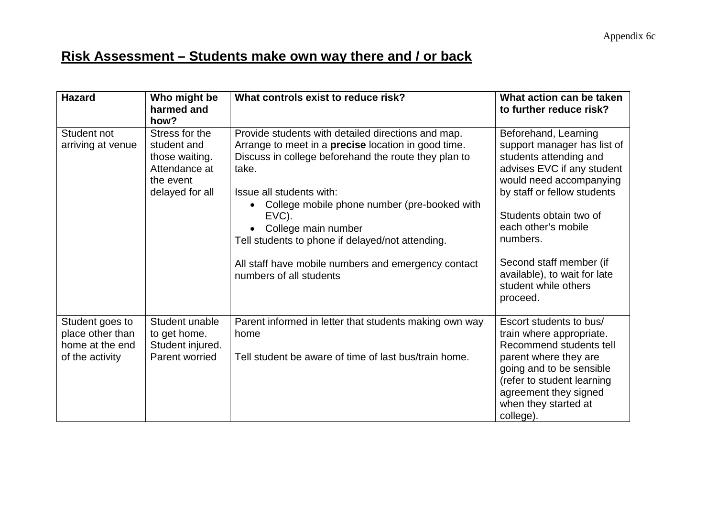### **Risk Assessment – Students make own way there and / or back**

| <b>Hazard</b>                                                             | Who might be<br>harmed and<br>how?                                                               | What controls exist to reduce risk?                                                                                                                                                                                                                                                                                                                                                                                                 | What action can be taken<br>to further reduce risk?                                                                                                                                                                                                                                                                               |
|---------------------------------------------------------------------------|--------------------------------------------------------------------------------------------------|-------------------------------------------------------------------------------------------------------------------------------------------------------------------------------------------------------------------------------------------------------------------------------------------------------------------------------------------------------------------------------------------------------------------------------------|-----------------------------------------------------------------------------------------------------------------------------------------------------------------------------------------------------------------------------------------------------------------------------------------------------------------------------------|
| Student not<br>arriving at venue                                          | Stress for the<br>student and<br>those waiting.<br>Attendance at<br>the event<br>delayed for all | Provide students with detailed directions and map.<br>Arrange to meet in a <b>precise</b> location in good time.<br>Discuss in college beforehand the route they plan to<br>take.<br>Issue all students with:<br>College mobile phone number (pre-booked with<br>EVC).<br>College main number<br>Tell students to phone if delayed/not attending.<br>All staff have mobile numbers and emergency contact<br>numbers of all students | Beforehand, Learning<br>support manager has list of<br>students attending and<br>advises EVC if any student<br>would need accompanying<br>by staff or fellow students<br>Students obtain two of<br>each other's mobile<br>numbers.<br>Second staff member (if<br>available), to wait for late<br>student while others<br>proceed. |
| Student goes to<br>place other than<br>home at the end<br>of the activity | Student unable<br>to get home.<br>Student injured.<br>Parent worried                             | Parent informed in letter that students making own way<br>home<br>Tell student be aware of time of last bus/train home.                                                                                                                                                                                                                                                                                                             | Escort students to bus/<br>train where appropriate.<br>Recommend students tell<br>parent where they are<br>going and to be sensible<br>(refer to student learning<br>agreement they signed<br>when they started at<br>college).                                                                                                   |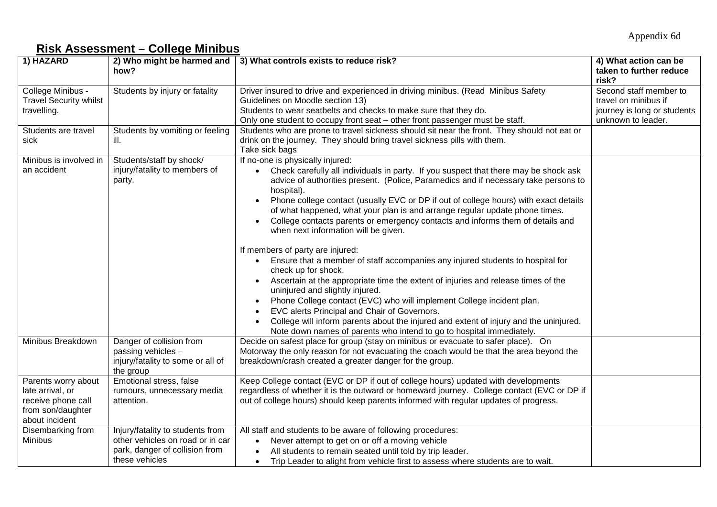### **Risk Assessment – College Minibus**

| 1) HAZARD                                                                                            |                                                                                                                          | 2) Who might be harmed and $\vert$ 3) What controls exists to reduce risk?                                                                                                                                                                                                                                                                                                                                                                                                                                                                                                                                                                                                                                                                                                                                                                                                                                                                                                                                                                                                                                                | 4) What action can be                                                                               |
|------------------------------------------------------------------------------------------------------|--------------------------------------------------------------------------------------------------------------------------|---------------------------------------------------------------------------------------------------------------------------------------------------------------------------------------------------------------------------------------------------------------------------------------------------------------------------------------------------------------------------------------------------------------------------------------------------------------------------------------------------------------------------------------------------------------------------------------------------------------------------------------------------------------------------------------------------------------------------------------------------------------------------------------------------------------------------------------------------------------------------------------------------------------------------------------------------------------------------------------------------------------------------------------------------------------------------------------------------------------------------|-----------------------------------------------------------------------------------------------------|
|                                                                                                      | how?                                                                                                                     |                                                                                                                                                                                                                                                                                                                                                                                                                                                                                                                                                                                                                                                                                                                                                                                                                                                                                                                                                                                                                                                                                                                           | taken to further reduce<br>risk?                                                                    |
| College Minibus -<br><b>Travel Security whilst</b><br>travelling.                                    | Students by injury or fatality                                                                                           | Driver insured to drive and experienced in driving minibus. (Read Minibus Safety<br>Guidelines on Moodle section 13)<br>Students to wear seatbelts and checks to make sure that they do.<br>Only one student to occupy front seat – other front passenger must be staff.                                                                                                                                                                                                                                                                                                                                                                                                                                                                                                                                                                                                                                                                                                                                                                                                                                                  | Second staff member to<br>travel on minibus if<br>journey is long or students<br>unknown to leader. |
| Students are travel<br>sick                                                                          | Students by vomiting or feeling<br>ill.                                                                                  | Students who are prone to travel sickness should sit near the front. They should not eat or<br>drink on the journey. They should bring travel sickness pills with them.<br>Take sick bags                                                                                                                                                                                                                                                                                                                                                                                                                                                                                                                                                                                                                                                                                                                                                                                                                                                                                                                                 |                                                                                                     |
| Minibus is involved in<br>an accident                                                                | Students/staff by shock/<br>injury/fatality to members of<br>party.                                                      | If no-one is physically injured:<br>• Check carefully all individuals in party. If you suspect that there may be shock ask<br>advice of authorities present. (Police, Paramedics and if necessary take persons to<br>hospital).<br>Phone college contact (usually EVC or DP if out of college hours) with exact details<br>of what happened, what your plan is and arrange regular update phone times.<br>College contacts parents or emergency contacts and informs them of details and<br>$\bullet$<br>when next information will be given.<br>If members of party are injured:<br>Ensure that a member of staff accompanies any injured students to hospital for<br>$\bullet$<br>check up for shock.<br>Ascertain at the appropriate time the extent of injuries and release times of the<br>uninjured and slightly injured.<br>Phone College contact (EVC) who will implement College incident plan.<br>EVC alerts Principal and Chair of Governors.<br>College will inform parents about the injured and extent of injury and the uninjured.<br>Note down names of parents who intend to go to hospital immediately. |                                                                                                     |
| Minibus Breakdown                                                                                    | Danger of collision from<br>passing vehicles -<br>injury/fatality to some or all of<br>the group                         | Decide on safest place for group (stay on minibus or evacuate to safer place). On<br>Motorway the only reason for not evacuating the coach would be that the area beyond the<br>breakdown/crash created a greater danger for the group.                                                                                                                                                                                                                                                                                                                                                                                                                                                                                                                                                                                                                                                                                                                                                                                                                                                                                   |                                                                                                     |
| Parents worry about<br>late arrival, or<br>receive phone call<br>from son/daughter<br>about incident | Emotional stress, false<br>rumours, unnecessary media<br>attention.                                                      | Keep College contact (EVC or DP if out of college hours) updated with developments<br>regardless of whether it is the outward or homeward journey. College contact (EVC or DP if<br>out of college hours) should keep parents informed with regular updates of progress.                                                                                                                                                                                                                                                                                                                                                                                                                                                                                                                                                                                                                                                                                                                                                                                                                                                  |                                                                                                     |
| Disembarking from<br><b>Minibus</b>                                                                  | Injury/fatality to students from<br>other vehicles on road or in car<br>park, danger of collision from<br>these vehicles | All staff and students to be aware of following procedures:<br>Never attempt to get on or off a moving vehicle<br>$\bullet$<br>All students to remain seated until told by trip leader.<br>Trip Leader to alight from vehicle first to assess where students are to wait.<br>$\bullet$                                                                                                                                                                                                                                                                                                                                                                                                                                                                                                                                                                                                                                                                                                                                                                                                                                    |                                                                                                     |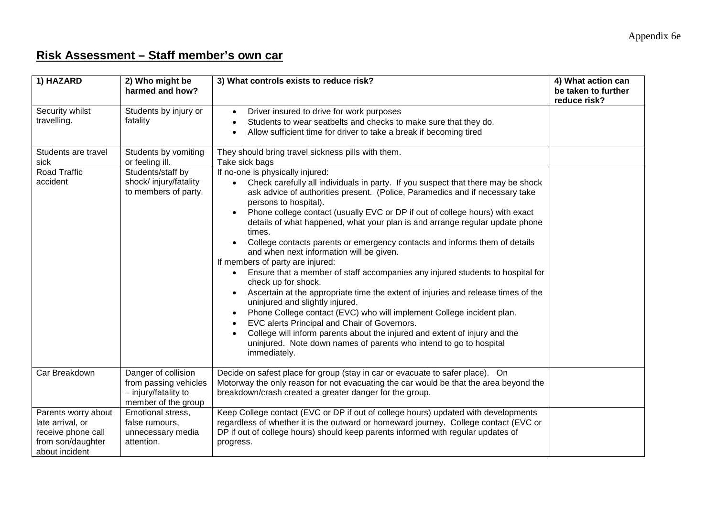### **Risk Assessment – Staff member's own car**

| 1) HAZARD                                                                                            | 2) Who might be<br>harmed and how?                                                          | 3) What controls exists to reduce risk?                                                                                                                                                                                                                                                                                                                                                                                                                                                                                                                                                                                                                                                                                                                                                                                                                                                                                                                                                                                                                                                                                                    | 4) What action can<br>be taken to further<br>reduce risk? |
|------------------------------------------------------------------------------------------------------|---------------------------------------------------------------------------------------------|--------------------------------------------------------------------------------------------------------------------------------------------------------------------------------------------------------------------------------------------------------------------------------------------------------------------------------------------------------------------------------------------------------------------------------------------------------------------------------------------------------------------------------------------------------------------------------------------------------------------------------------------------------------------------------------------------------------------------------------------------------------------------------------------------------------------------------------------------------------------------------------------------------------------------------------------------------------------------------------------------------------------------------------------------------------------------------------------------------------------------------------------|-----------------------------------------------------------|
| Security whilst<br>travelling.                                                                       | Students by injury or<br>fatality                                                           | Driver insured to drive for work purposes<br>$\bullet$<br>Students to wear seatbelts and checks to make sure that they do.<br>$\bullet$<br>Allow sufficient time for driver to take a break if becoming tired<br>$\bullet$                                                                                                                                                                                                                                                                                                                                                                                                                                                                                                                                                                                                                                                                                                                                                                                                                                                                                                                 |                                                           |
| Students are travel<br>sick                                                                          | Students by vomiting<br>or feeling ill.                                                     | They should bring travel sickness pills with them.<br>Take sick bags                                                                                                                                                                                                                                                                                                                                                                                                                                                                                                                                                                                                                                                                                                                                                                                                                                                                                                                                                                                                                                                                       |                                                           |
| Road Traffic<br>accident                                                                             | Students/staff by<br>shock/injury/fatality<br>to members of party.                          | If no-one is physically injured:<br>Check carefully all individuals in party. If you suspect that there may be shock<br>$\bullet$<br>ask advice of authorities present. (Police, Paramedics and if necessary take<br>persons to hospital).<br>Phone college contact (usually EVC or DP if out of college hours) with exact<br>$\bullet$<br>details of what happened, what your plan is and arrange regular update phone<br>times.<br>College contacts parents or emergency contacts and informs them of details<br>and when next information will be given.<br>If members of party are injured:<br>Ensure that a member of staff accompanies any injured students to hospital for<br>check up for shock.<br>Ascertain at the appropriate time the extent of injuries and release times of the<br>$\bullet$<br>uninjured and slightly injured.<br>Phone College contact (EVC) who will implement College incident plan.<br>EVC alerts Principal and Chair of Governors.<br>College will inform parents about the injured and extent of injury and the<br>uninjured. Note down names of parents who intend to go to hospital<br>immediately. |                                                           |
| Car Breakdown                                                                                        | Danger of collision<br>from passing vehicles<br>- injury/fatality to<br>member of the group | Decide on safest place for group (stay in car or evacuate to safer place). On<br>Motorway the only reason for not evacuating the car would be that the area beyond the<br>breakdown/crash created a greater danger for the group.                                                                                                                                                                                                                                                                                                                                                                                                                                                                                                                                                                                                                                                                                                                                                                                                                                                                                                          |                                                           |
| Parents worry about<br>late arrival, or<br>receive phone call<br>from son/daughter<br>about incident | Emotional stress,<br>false rumours,<br>unnecessary media<br>attention.                      | Keep College contact (EVC or DP if out of college hours) updated with developments<br>regardless of whether it is the outward or homeward journey. College contact (EVC or<br>DP if out of college hours) should keep parents informed with regular updates of<br>progress.                                                                                                                                                                                                                                                                                                                                                                                                                                                                                                                                                                                                                                                                                                                                                                                                                                                                |                                                           |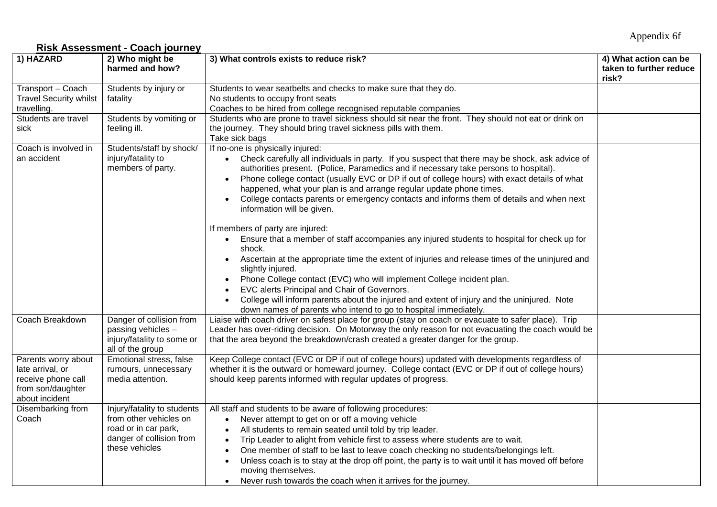### Appendix 6f

### **Risk Assessment - Coach journey**

| 1) HAZARD                     | 2) Who might be             | 3) What controls exists to reduce risk?                                                               | 4) What action can be   |
|-------------------------------|-----------------------------|-------------------------------------------------------------------------------------------------------|-------------------------|
|                               | harmed and how?             |                                                                                                       | taken to further reduce |
|                               |                             |                                                                                                       | risk?                   |
| Transport - Coach             | Students by injury or       | Students to wear seatbelts and checks to make sure that they do.                                      |                         |
| <b>Travel Security whilst</b> | fatality                    | No students to occupy front seats                                                                     |                         |
| travelling.                   |                             | Coaches to be hired from college recognised reputable companies                                       |                         |
| Students are travel           | Students by vomiting or     | Students who are prone to travel sickness should sit near the front. They should not eat or drink on  |                         |
| sick                          | feeling ill.                | the journey. They should bring travel sickness pills with them.                                       |                         |
|                               |                             | Take sick bags                                                                                        |                         |
| Coach is involved in          | Students/staff by shock/    | If no-one is physically injured:                                                                      |                         |
| an accident                   | injury/fatality to          | • Check carefully all individuals in party. If you suspect that there may be shock, ask advice of     |                         |
|                               | members of party.           | authorities present. (Police, Paramedics and if necessary take persons to hospital).                  |                         |
|                               |                             | Phone college contact (usually EVC or DP if out of college hours) with exact details of what          |                         |
|                               |                             | happened, what your plan is and arrange regular update phone times.                                   |                         |
|                               |                             | College contacts parents or emergency contacts and informs them of details and when next<br>$\bullet$ |                         |
|                               |                             | information will be given.                                                                            |                         |
|                               |                             |                                                                                                       |                         |
|                               |                             | If members of party are injured:                                                                      |                         |
|                               |                             | Ensure that a member of staff accompanies any injured students to hospital for check up for           |                         |
|                               |                             | shock.                                                                                                |                         |
|                               |                             | Ascertain at the appropriate time the extent of injuries and release times of the uninjured and       |                         |
|                               |                             | slightly injured.                                                                                     |                         |
|                               |                             | Phone College contact (EVC) who will implement College incident plan.<br>$\bullet$                    |                         |
|                               |                             | EVC alerts Principal and Chair of Governors.                                                          |                         |
|                               |                             | College will inform parents about the injured and extent of injury and the uninjured. Note            |                         |
|                               |                             | down names of parents who intend to go to hospital immediately.                                       |                         |
| Coach Breakdown               | Danger of collision from    | Liaise with coach driver on safest place for group (stay on coach or evacuate to safer place). Trip   |                         |
|                               | passing vehicles -          | Leader has over-riding decision. On Motorway the only reason for not evacuating the coach would be    |                         |
|                               | injury/fatality to some or  | that the area beyond the breakdown/crash created a greater danger for the group.                      |                         |
|                               | all of the group            |                                                                                                       |                         |
| Parents worry about           | Emotional stress, false     | Keep College contact (EVC or DP if out of college hours) updated with developments regardless of      |                         |
| late arrival, or              | rumours, unnecessary        | whether it is the outward or homeward journey. College contact (EVC or DP if out of college hours)    |                         |
| receive phone call            | media attention.            | should keep parents informed with regular updates of progress.                                        |                         |
| from son/daughter             |                             |                                                                                                       |                         |
| about incident                |                             |                                                                                                       |                         |
| Disembarking from             | Injury/fatality to students | All staff and students to be aware of following procedures:                                           |                         |
| Coach                         | from other vehicles on      | Never attempt to get on or off a moving vehicle<br>$\bullet$                                          |                         |
|                               | road or in car park,        | All students to remain seated until told by trip leader.                                              |                         |
|                               | danger of collision from    | Trip Leader to alight from vehicle first to assess where students are to wait.                        |                         |
|                               | these vehicles              | One member of staff to be last to leave coach checking no students/belongings left.                   |                         |
|                               |                             | Unless coach is to stay at the drop off point, the party is to wait until it has moved off before     |                         |
|                               |                             | moving themselves.                                                                                    |                         |
|                               |                             | Never rush towards the coach when it arrives for the journey.                                         |                         |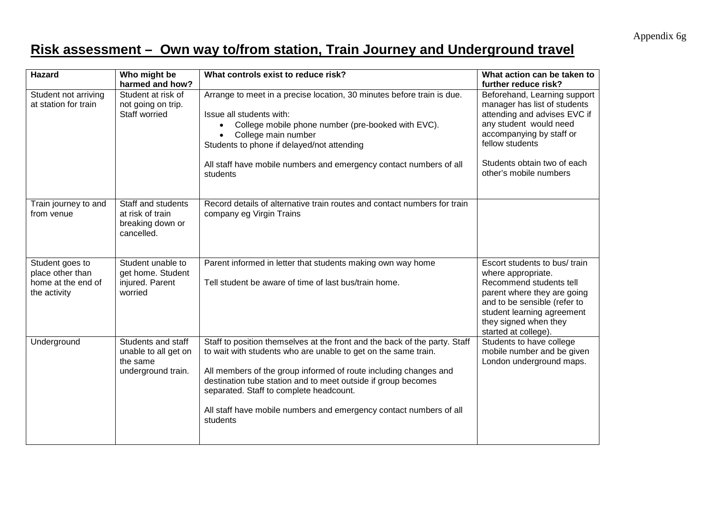Appendix 6g

### **Risk assessment – Own way to/from station, Train Journey and Underground travel**

| <b>Hazard</b>                                                             | Who might be<br>harmed and how?                                              | What controls exist to reduce risk?                                                                                                                                                                                                                                                                                                                                                                            | What action can be taken to<br>further reduce risk?                                                                                                                                                                            |
|---------------------------------------------------------------------------|------------------------------------------------------------------------------|----------------------------------------------------------------------------------------------------------------------------------------------------------------------------------------------------------------------------------------------------------------------------------------------------------------------------------------------------------------------------------------------------------------|--------------------------------------------------------------------------------------------------------------------------------------------------------------------------------------------------------------------------------|
| Student not arriving<br>at station for train                              | Student at risk of<br>not going on trip.<br>Staff worried                    | Arrange to meet in a precise location, 30 minutes before train is due.<br>Issue all students with:<br>College mobile phone number (pre-booked with EVC).<br>$\bullet$<br>College main number<br>$\bullet$<br>Students to phone if delayed/not attending<br>All staff have mobile numbers and emergency contact numbers of all<br>students                                                                      | Beforehand, Learning support<br>manager has list of students<br>attending and advises EVC if<br>any student would need<br>accompanying by staff or<br>fellow students<br>Students obtain two of each<br>other's mobile numbers |
| Train journey to and<br>from venue                                        | Staff and students<br>at risk of train<br>breaking down or<br>cancelled.     | Record details of alternative train routes and contact numbers for train<br>company eg Virgin Trains                                                                                                                                                                                                                                                                                                           |                                                                                                                                                                                                                                |
| Student goes to<br>place other than<br>home at the end of<br>the activity | Student unable to<br>get home. Student<br>injured. Parent<br>worried         | Parent informed in letter that students making own way home<br>Tell student be aware of time of last bus/train home.                                                                                                                                                                                                                                                                                           | Escort students to bus/ train<br>where appropriate.<br>Recommend students tell<br>parent where they are going<br>and to be sensible (refer to<br>student learning agreement<br>they signed when they<br>started at college).   |
| Underground                                                               | Students and staff<br>unable to all get on<br>the same<br>underground train. | Staff to position themselves at the front and the back of the party. Staff<br>to wait with students who are unable to get on the same train.<br>All members of the group informed of route including changes and<br>destination tube station and to meet outside if group becomes<br>separated. Staff to complete headcount.<br>All staff have mobile numbers and emergency contact numbers of all<br>students | Students to have college<br>mobile number and be given<br>London underground maps.                                                                                                                                             |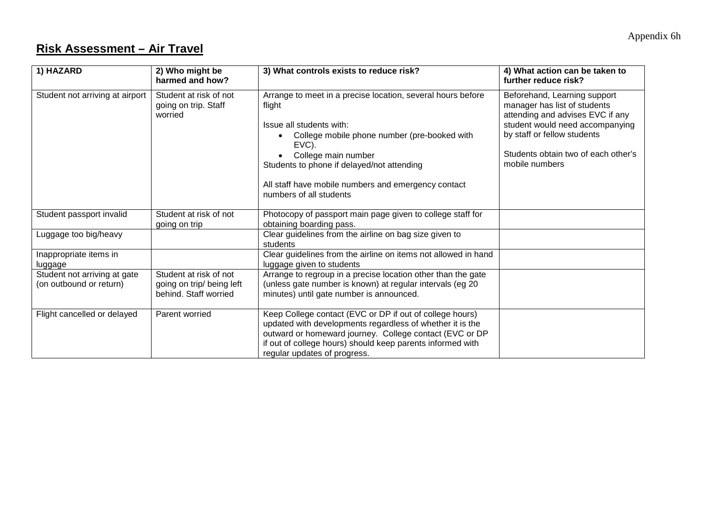### **Risk Assessment – Air Travel**

| 1) HAZARD                                               | 2) Who might be<br>harmed and how?                                           | 3) What controls exists to reduce risk?                                                                                                                                                                                                                                                                           | 4) What action can be taken to<br>further reduce risk?                                                                                                                                                                      |
|---------------------------------------------------------|------------------------------------------------------------------------------|-------------------------------------------------------------------------------------------------------------------------------------------------------------------------------------------------------------------------------------------------------------------------------------------------------------------|-----------------------------------------------------------------------------------------------------------------------------------------------------------------------------------------------------------------------------|
| Student not arriving at airport                         | Student at risk of not<br>going on trip. Staff<br>worried                    | Arrange to meet in a precise location, several hours before<br>flight<br>Issue all students with:<br>College mobile phone number (pre-booked with<br>EVC).<br>College main number<br>Students to phone if delayed/not attending<br>All staff have mobile numbers and emergency contact<br>numbers of all students | Beforehand, Learning support<br>manager has list of students<br>attending and advises EVC if any<br>student would need accompanying<br>by staff or fellow students<br>Students obtain two of each other's<br>mobile numbers |
| Student passport invalid                                | Student at risk of not<br>going on trip                                      | Photocopy of passport main page given to college staff for<br>obtaining boarding pass.                                                                                                                                                                                                                            |                                                                                                                                                                                                                             |
| Luggage too big/heavy                                   |                                                                              | Clear guidelines from the airline on bag size given to<br>students                                                                                                                                                                                                                                                |                                                                                                                                                                                                                             |
| Inappropriate items in<br>luggage                       |                                                                              | Clear guidelines from the airline on items not allowed in hand<br>luggage given to students                                                                                                                                                                                                                       |                                                                                                                                                                                                                             |
| Student not arriving at gate<br>(on outbound or return) | Student at risk of not<br>going on trip/ being left<br>behind. Staff worried | Arrange to regroup in a precise location other than the gate<br>(unless gate number is known) at regular intervals (eg 20<br>minutes) until gate number is announced.                                                                                                                                             |                                                                                                                                                                                                                             |
| Flight cancelled or delayed                             | Parent worried                                                               | Keep College contact (EVC or DP if out of college hours)<br>updated with developments regardless of whether it is the<br>outward or homeward journey. College contact (EVC or DP<br>if out of college hours) should keep parents informed with<br>regular updates of progress.                                    |                                                                                                                                                                                                                             |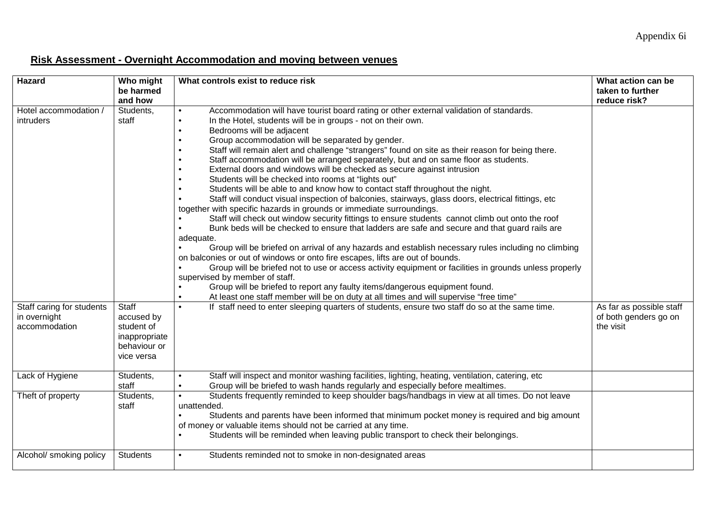### **Risk Assessment - Overnight Accommodation and moving between venues**

| <b>Hazard</b>                                              | Who might<br>be harmed<br>and how                                                | What controls exist to reduce risk                                                                                                                                                                                                                                                                                                                                                                                                                                                                                                                                                                                                                                                                                                                                                                                                                                                                                                                                                                                                                                                                                                                                                                                                                                                                                                                                                                                                                                                                                                                                            | What action can be<br>taken to further<br>reduce risk?         |
|------------------------------------------------------------|----------------------------------------------------------------------------------|-------------------------------------------------------------------------------------------------------------------------------------------------------------------------------------------------------------------------------------------------------------------------------------------------------------------------------------------------------------------------------------------------------------------------------------------------------------------------------------------------------------------------------------------------------------------------------------------------------------------------------------------------------------------------------------------------------------------------------------------------------------------------------------------------------------------------------------------------------------------------------------------------------------------------------------------------------------------------------------------------------------------------------------------------------------------------------------------------------------------------------------------------------------------------------------------------------------------------------------------------------------------------------------------------------------------------------------------------------------------------------------------------------------------------------------------------------------------------------------------------------------------------------------------------------------------------------|----------------------------------------------------------------|
| Hotel accommodation /<br>intruders                         | Students,<br>staff                                                               | Accommodation will have tourist board rating or other external validation of standards.<br>In the Hotel, students will be in groups - not on their own.<br>Bedrooms will be adjacent<br>Group accommodation will be separated by gender.<br>Staff will remain alert and challenge "strangers" found on site as their reason for being there.<br>Staff accommodation will be arranged separately, but and on same floor as students.<br>External doors and windows will be checked as secure against intrusion<br>Students will be checked into rooms at "lights out"<br>Students will be able to and know how to contact staff throughout the night.<br>Staff will conduct visual inspection of balconies, stairways, glass doors, electrical fittings, etc<br>together with specific hazards in grounds or immediate surroundings.<br>Staff will check out window security fittings to ensure students cannot climb out onto the roof<br>Bunk beds will be checked to ensure that ladders are safe and secure and that guard rails are<br>adequate.<br>Group will be briefed on arrival of any hazards and establish necessary rules including no climbing<br>on balconies or out of windows or onto fire escapes, lifts are out of bounds.<br>Group will be briefed not to use or access activity equipment or facilities in grounds unless properly<br>supervised by member of staff.<br>Group will be briefed to report any faulty items/dangerous equipment found.<br>$\bullet$<br>At least one staff member will be on duty at all times and will supervise "free time" |                                                                |
| Staff caring for students<br>in overnight<br>accommodation | Staff<br>accused by<br>student of<br>inappropriate<br>behaviour or<br>vice versa | If staff need to enter sleeping quarters of students, ensure two staff do so at the same time.                                                                                                                                                                                                                                                                                                                                                                                                                                                                                                                                                                                                                                                                                                                                                                                                                                                                                                                                                                                                                                                                                                                                                                                                                                                                                                                                                                                                                                                                                | As far as possible staff<br>of both genders go on<br>the visit |
| Lack of Hygiene                                            | Students,<br>staff                                                               | Staff will inspect and monitor washing facilities, lighting, heating, ventilation, catering, etc<br>Group will be briefed to wash hands regularly and especially before mealtimes.<br>$\bullet$                                                                                                                                                                                                                                                                                                                                                                                                                                                                                                                                                                                                                                                                                                                                                                                                                                                                                                                                                                                                                                                                                                                                                                                                                                                                                                                                                                               |                                                                |
| Theft of property                                          | Students,<br>staff                                                               | Students frequently reminded to keep shoulder bags/handbags in view at all times. Do not leave<br>unattended.<br>Students and parents have been informed that minimum pocket money is required and big amount<br>of money or valuable items should not be carried at any time.<br>Students will be reminded when leaving public transport to check their belongings.<br>$\bullet$                                                                                                                                                                                                                                                                                                                                                                                                                                                                                                                                                                                                                                                                                                                                                                                                                                                                                                                                                                                                                                                                                                                                                                                             |                                                                |
| Alcohol/ smoking policy                                    | <b>Students</b>                                                                  | Students reminded not to smoke in non-designated areas                                                                                                                                                                                                                                                                                                                                                                                                                                                                                                                                                                                                                                                                                                                                                                                                                                                                                                                                                                                                                                                                                                                                                                                                                                                                                                                                                                                                                                                                                                                        |                                                                |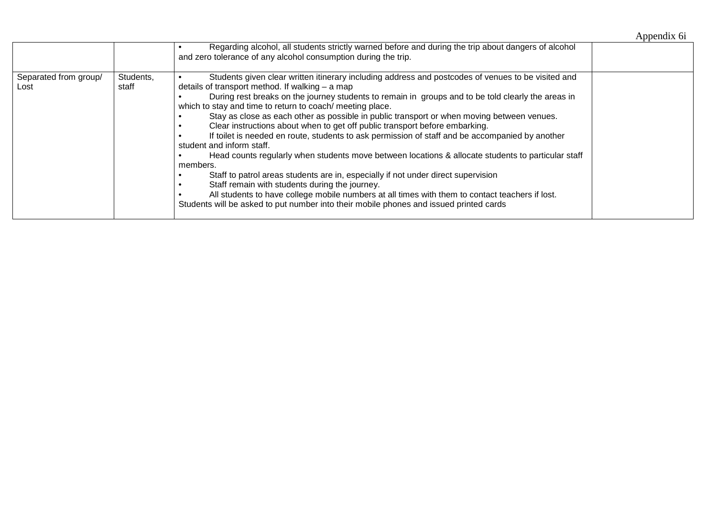|                               |                    |                                                                                                                                                                                                                                                                                                                                                                                                                                                                                                                                                                                                                                                                                                                                                                                                                                                                                                                                                                                                                                                                                             | Appendix 6i |
|-------------------------------|--------------------|---------------------------------------------------------------------------------------------------------------------------------------------------------------------------------------------------------------------------------------------------------------------------------------------------------------------------------------------------------------------------------------------------------------------------------------------------------------------------------------------------------------------------------------------------------------------------------------------------------------------------------------------------------------------------------------------------------------------------------------------------------------------------------------------------------------------------------------------------------------------------------------------------------------------------------------------------------------------------------------------------------------------------------------------------------------------------------------------|-------------|
|                               |                    | Regarding alcohol, all students strictly warned before and during the trip about dangers of alcohol<br>and zero tolerance of any alcohol consumption during the trip.                                                                                                                                                                                                                                                                                                                                                                                                                                                                                                                                                                                                                                                                                                                                                                                                                                                                                                                       |             |
| Separated from group/<br>Lost | Students,<br>staff | Students given clear written itinerary including address and postcodes of venues to be visited and<br>details of transport method. If walking - a map<br>During rest breaks on the journey students to remain in groups and to be told clearly the areas in<br>which to stay and time to return to coach/ meeting place.<br>Stay as close as each other as possible in public transport or when moving between venues.<br>Clear instructions about when to get off public transport before embarking.<br>If toilet is needed en route, students to ask permission of staff and be accompanied by another<br>student and inform staff.<br>Head counts regularly when students move between locations & allocate students to particular staff<br>members.<br>Staff to patrol areas students are in, especially if not under direct supervision<br>Staff remain with students during the journey.<br>All students to have college mobile numbers at all times with them to contact teachers if lost.<br>Students will be asked to put number into their mobile phones and issued printed cards |             |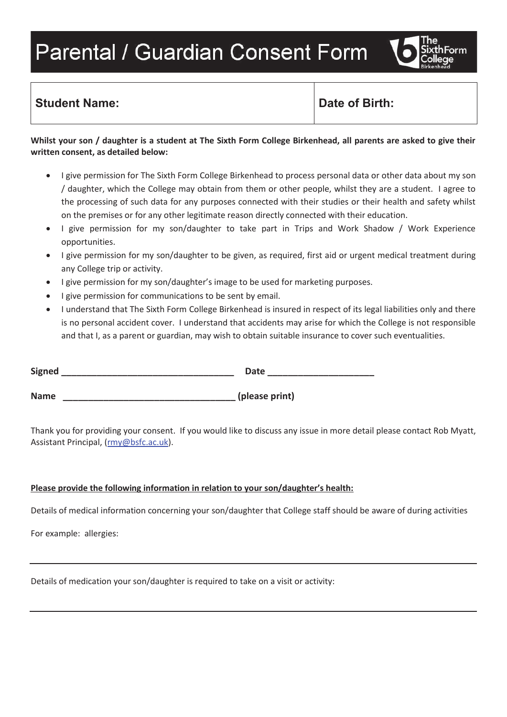# **Parental / Guardian Consent Form**



### **Student Name:**  $\qquad \qquad$  Date of Birth:

#### **Whilst your son / daughter is a student at The Sixth Form College Birkenhead, all parents are asked to give their written consent, as detailed below:**

- · I give permission for The Sixth Form College Birkenhead to process personal data or other data about my son / daughter, which the College may obtain from them or other people, whilst they are a student. I agree to the processing of such data for any purposes connected with their studies or their health and safety whilst on the premises or for any other legitimate reason directly connected with their education.
- · I give permission for my son/daughter to take part in Trips and Work Shadow / Work Experience opportunities.
- · I give permission for my son/daughter to be given, as required, first aid or urgent medical treatment during any College trip or activity.
- I give permission for my son/daughter's image to be used for marketing purposes.
- · I give permission for communications to be sent by email.
- · I understand that The Sixth Form College Birkenhead is insured in respect of its legal liabilities only and there is no personal accident cover. I understand that accidents may arise for which the College is not responsible and that I, as a parent or guardian, may wish to obtain suitable insurance to cover such eventualities.

| <b>Signed</b> | Date           |
|---------------|----------------|
|               |                |
| <b>Name</b>   | (please print) |

Thank you for providing your consent. If you would like to discuss any issue in more detail please contact Rob Myatt, Assistant Principal, (rmy@bsfc.ac.uk).

#### **Please provide the following information in relation to your son/daughter's health:**

Details of medical information concerning your son/daughter that College staff should be aware of during activities

For example: allergies:

Details of medication your son/daughter is required to take on a visit or activity: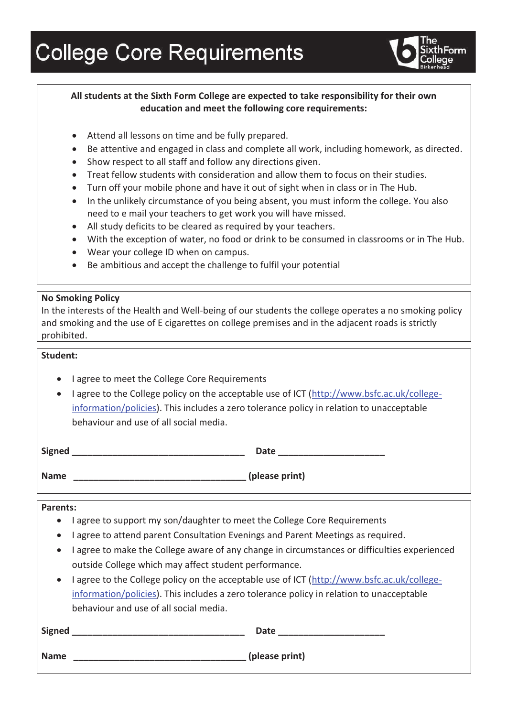# **College Core Requirements**



#### **All students at the Sixth Form College are expected to take responsibility for their own education and meet the following core requirements:**

- Attend all lessons on time and be fully prepared.
- · Be attentive and engaged in class and complete all work, including homework, as directed.
- Show respect to all staff and follow any directions given.
- · Treat fellow students with consideration and allow them to focus on their studies.
- · Turn off your mobile phone and have it out of sight when in class or in The Hub.
- In the unlikely circumstance of you being absent, you must inform the college. You also need to e mail your teachers to get work you will have missed.
- · All study deficits to be cleared as required by your teachers.
- · With the exception of water, no food or drink to be consumed in classrooms or in The Hub.
- · Wear your college ID when on campus.
- · Be ambitious and accept the challenge to fulfil your potential

#### **No Smoking Policy**

In the interests of the Health and Well-being of our students the college operates a no smoking policy and smoking and the use of E cigarettes on college premises and in the adjacent roads is strictly prohibited.

#### **Student:**

- · I agree to meet the College Core Requirements
- I agree to the College policy on the acceptable use of ICT (http://www.bsfc.ac.uk/collegeinformation/policies). This includes a zero tolerance policy in relation to unacceptable behaviour and use of all social media.

| <b>Signed</b><br>$-$ -0.100 | -- |  |
|-----------------------------|----|--|
|                             |    |  |

**Name \_\_\_\_\_\_\_\_\_\_\_\_\_\_\_\_\_\_\_\_\_\_\_\_\_\_\_\_\_\_\_\_\_\_ (please print)**

#### **Parents:**

- · I agree to support my son/daughter to meet the College Core Requirements
- · I agree to attend parent Consultation Evenings and Parent Meetings as required.
- · I agree to make the College aware of any change in circumstances or difficulties experienced outside College which may affect student performance.
- · I agree to the College policy on the acceptable use of ICT (http://www.bsfc.ac.uk/collegeinformation/policies). This includes a zero tolerance policy in relation to unacceptable behaviour and use of all social media.

| Signed      | <b>Date</b>    |
|-------------|----------------|
| <b>Name</b> | (please print) |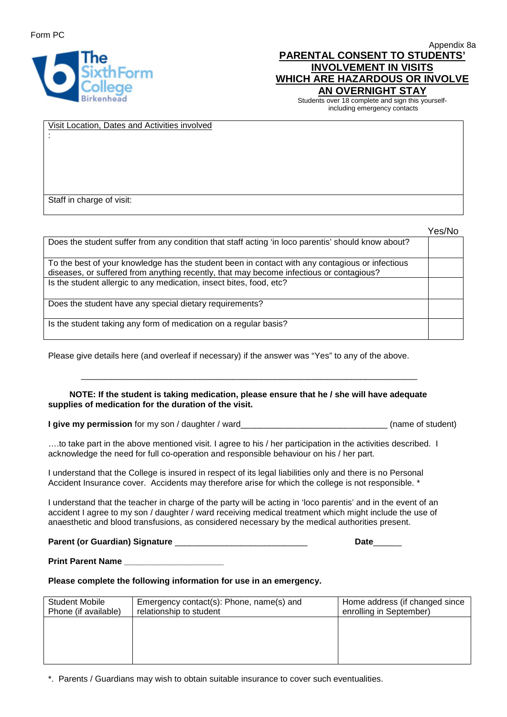Form PC

:



Appendix 8a **PARENTAL CONSENT TO STUDENTS' INVOLVEMENT IN VISITS WHICH ARE HAZARDOUS OR INVOLVE AN OVERNIGHT STAY** 

Students over 18 complete and sign this yourselfincluding emergency contacts

Visit Location, Dates and Activities involved

Staff in charge of visit:

|                                                                                                                                                                                            | Yes/No |
|--------------------------------------------------------------------------------------------------------------------------------------------------------------------------------------------|--------|
| Does the student suffer from any condition that staff acting 'in loco parentis' should know about?                                                                                         |        |
| To the best of your knowledge has the student been in contact with any contagious or infectious<br>diseases, or suffered from anything recently, that may become infectious or contagious? |        |
| Is the student allergic to any medication, insect bites, food, etc?                                                                                                                        |        |
| Does the student have any special dietary requirements?                                                                                                                                    |        |
| Is the student taking any form of medication on a regular basis?                                                                                                                           |        |

Please give details here (and overleaf if necessary) if the answer was "Yes" to any of the above.

#### **NOTE: If the student is taking medication, please ensure that he / she will have adequate supplies of medication for the duration of the visit.**

\_\_\_\_\_\_\_\_\_\_\_\_\_\_\_\_\_\_\_\_\_\_\_\_\_\_\_\_\_\_\_\_\_\_\_\_\_\_\_\_\_\_\_\_\_\_\_\_\_\_\_\_\_\_\_\_\_\_\_\_\_\_\_\_\_\_\_\_\_\_\_

**I give my permission** for my son / daughter / ward

….to take part in the above mentioned visit. I agree to his / her participation in the activities described. I acknowledge the need for full co-operation and responsible behaviour on his / her part.

I understand that the College is insured in respect of its legal liabilities only and there is no Personal Accident Insurance cover. Accidents may therefore arise for which the college is not responsible. \*

I understand that the teacher in charge of the party will be acting in 'loco parentis' and in the event of an accident I agree to my son / daughter / ward receiving medical treatment which might include the use of anaesthetic and blood transfusions, as considered necessary by the medical authorities present.

**Parent (or Guardian) Signature** \_\_\_\_\_\_\_\_\_\_\_\_\_\_\_\_\_\_\_\_\_\_\_\_\_\_\_\_ **Date**\_\_\_\_\_\_

**Print Parent Name \_\_\_\_\_\_\_\_\_\_\_\_\_\_\_\_\_\_\_\_\_**

**Please complete the following information for use in an emergency.**

| Student Mobile<br>Phone (if available) | Emergency contact(s): Phone, name(s) and<br>relationship to student | Home address (if changed since<br>enrolling in September) |
|----------------------------------------|---------------------------------------------------------------------|-----------------------------------------------------------|
|                                        |                                                                     |                                                           |
|                                        |                                                                     |                                                           |
|                                        |                                                                     |                                                           |

\*. Parents / Guardians may wish to obtain suitable insurance to cover such eventualities.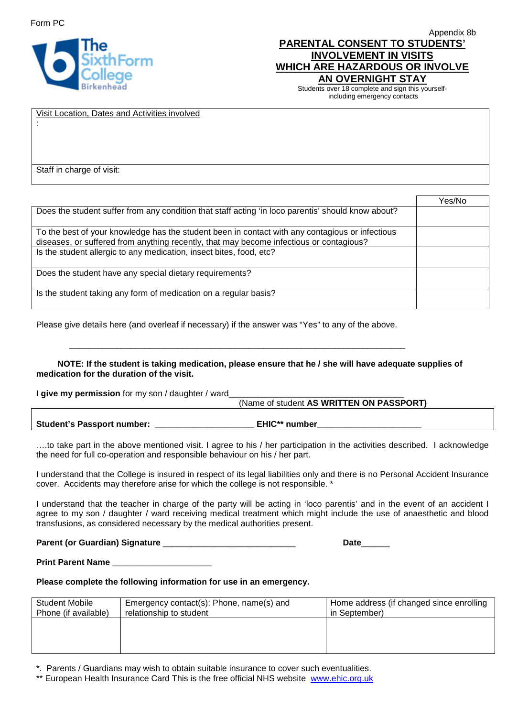:



| Appendix 8b                           |
|---------------------------------------|
| <b>PARENTAL CONSENT TO STUDENTS'</b>  |
| <b>INVOLVEMENT IN VISITS</b>          |
| <b>WHICH ARE HAZARDOUS OR INVOLVE</b> |
| AN OVERNIGHT STAY                     |
|                                       |

Students over 18 complete and sign this yourselfincluding emergency contacts

#### Visit Location, Dates and Activities involved

Staff in charge of visit:

|                                                                                                                                                                                            | Yes/No |
|--------------------------------------------------------------------------------------------------------------------------------------------------------------------------------------------|--------|
| Does the student suffer from any condition that staff acting 'in loco parentis' should know about?                                                                                         |        |
| To the best of your knowledge has the student been in contact with any contagious or infectious<br>diseases, or suffered from anything recently, that may become infectious or contagious? |        |
| Is the student allergic to any medication, insect bites, food, etc?                                                                                                                        |        |
| Does the student have any special dietary requirements?                                                                                                                                    |        |
| Is the student taking any form of medication on a regular basis?                                                                                                                           |        |

Please give details here (and overleaf if necessary) if the answer was "Yes" to any of the above.

 **NOTE: If the student is taking medication, please ensure that he / she will have adequate supplies of medication for the duration of the visit.** 

\_\_\_\_\_\_\_\_\_\_\_\_\_\_\_\_\_\_\_\_\_\_\_\_\_\_\_\_\_\_\_\_\_\_\_\_\_\_\_\_\_\_\_\_\_\_\_\_\_\_\_\_\_\_\_\_\_\_\_\_\_\_\_\_\_\_\_\_\_\_\_

**I give my permission** for my son / daughter / ward\_\_\_\_\_\_\_\_\_\_\_\_\_\_\_\_\_\_\_\_\_\_\_\_\_\_\_\_\_\_\_

|                                   | (Name of student AS WRITTEN ON PASSPORT) |
|-----------------------------------|------------------------------------------|
|                                   |                                          |
| <b>Student's Passport number:</b> | <b>EHIC**</b> number                     |

….to take part in the above mentioned visit. I agree to his / her participation in the activities described. I acknowledge the need for full co-operation and responsible behaviour on his / her part.

I understand that the College is insured in respect of its legal liabilities only and there is no Personal Accident Insurance cover. Accidents may therefore arise for which the college is not responsible. \*

I understand that the teacher in charge of the party will be acting in 'loco parentis' and in the event of an accident I agree to my son / daughter / ward receiving medical treatment which might include the use of anaesthetic and blood transfusions, as considered necessary by the medical authorities present.

**Parent (or Guardian) Signature** \_\_\_\_\_\_\_\_\_\_\_\_\_\_\_\_\_\_\_\_\_\_\_\_\_\_\_\_ **Date**\_\_\_\_\_\_

**Print Parent Name \_\_\_\_\_\_\_\_\_\_\_\_\_\_\_\_\_\_\_\_\_**

**Please complete the following information for use in an emergency.**

| <b>Student Mobile</b> | Emergency contact(s): Phone, name(s) and | Home address (if changed since enrolling |
|-----------------------|------------------------------------------|------------------------------------------|
| Phone (if available)  | relationship to student                  | in September)                            |
|                       |                                          |                                          |
|                       |                                          |                                          |
|                       |                                          |                                          |
|                       |                                          |                                          |

\*. Parents / Guardians may wish to obtain suitable insurance to cover such eventualities.

\*\* European Health Insurance Card This is the free official NHS website [www.ehic.org.uk](http://www.ehic.org.uk/)